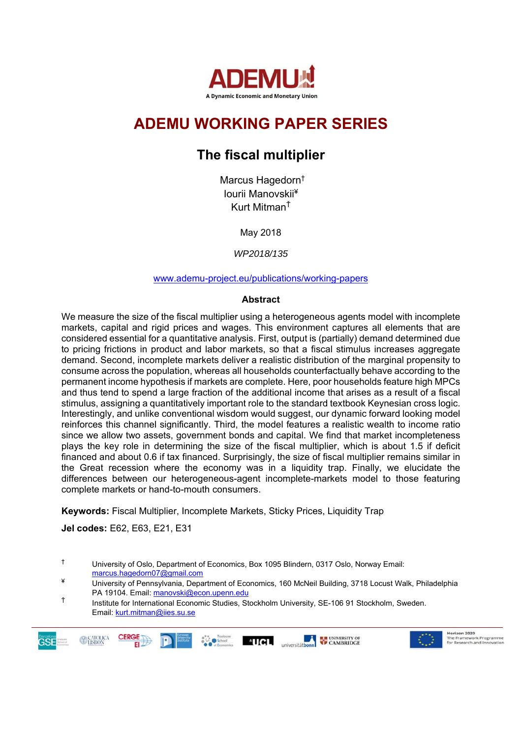

# **ADEMU WORKING PAPER SERIES**

# **The fiscal multiplier**

Marcus Hagedorn† Iourii Manovskii¥ Kurt MitmanŤ

May 2018

*WP2018/135* 

www.ademu-project.eu/publications/working-papers

### **Abstract**

We measure the size of the fiscal multiplier using a heterogeneous agents model with incomplete markets, capital and rigid prices and wages. This environment captures all elements that are considered essential for a quantitative analysis. First, output is (partially) demand determined due to pricing frictions in product and labor markets, so that a fiscal stimulus increases aggregate demand. Second, incomplete markets deliver a realistic distribution of the marginal propensity to consume across the population, whereas all households counterfactually behave according to the permanent income hypothesis if markets are complete. Here, poor households feature high MPCs and thus tend to spend a large fraction of the additional income that arises as a result of a fiscal stimulus, assigning a quantitatively important role to the standard textbook Keynesian cross logic. Interestingly, and unlike conventional wisdom would suggest, our dynamic forward looking model reinforces this channel significantly. Third, the model features a realistic wealth to income ratio since we allow two assets, government bonds and capital. We find that market incompleteness plays the key role in determining the size of the fiscal multiplier, which is about 1.5 if deficit financed and about 0.6 if tax financed. Surprisingly, the size of fiscal multiplier remains similar in the Great recession where the economy was in a liquidity trap. Finally, we elucidate the differences between our heterogeneous-agent incomplete-markets model to those featuring complete markets or hand-to-mouth consumers.

**Keywords:** Fiscal Multiplier, Incomplete Markets, Sticky Prices, Liquidity Trap

**Jel codes:** E62, E63, E21, E31

 $^{\circ}$ UCL

universitätbonn

Ť Institute for International Economic Studies, Stockholm University, SE-106 91 Stockholm, Sweden. Email: kurt.mitman@iies.su.se





<sup>†</sup> University of Oslo, Department of Economics, Box 1095 Blindern, 0317 Oslo, Norway Email: marcus.hagedorn07@gmail.com

<sup>¥</sup> University of Pennsylvania, Department of Economics, 160 McNeil Building, 3718 Locust Walk, Philadelphia PA 19104. Email: manovski@econ.upenn.edu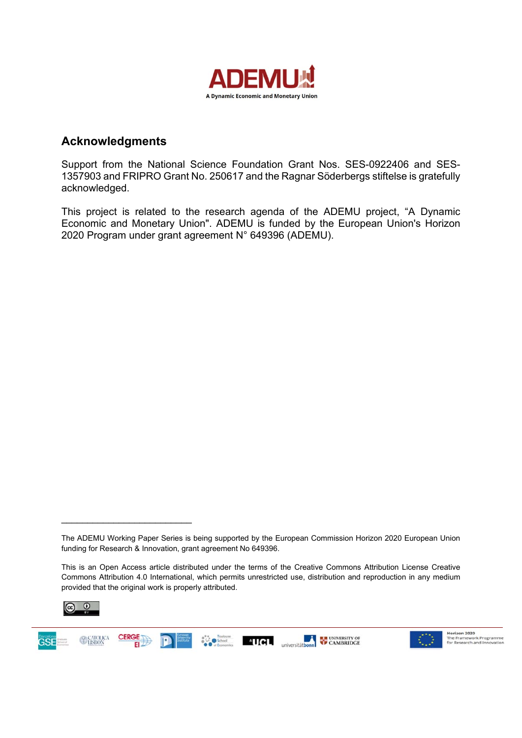

## **Acknowledgments**

Support from the National Science Foundation Grant Nos. SES-0922406 and SES-1357903 and FRIPRO Grant No. 250617 and the Ragnar Söderbergs stiftelse is gratefully acknowledged.

This project is related to the research agenda of the ADEMU project, "A Dynamic Economic and Monetary Union". ADEMU is funded by the European Union's Horizon 2020 Program under grant agreement N° 649396 (ADEMU).

This is an Open Access article distributed under the terms of the Creative Commons Attribution License Creative Commons Attribution 4.0 International, which permits unrestricted use, distribution and reproduction in any medium provided that the original work is properly attributed.







The ADEMU Working Paper Series is being supported by the European Commission Horizon 2020 European Union funding for Research & Innovation, grant agreement No 649396.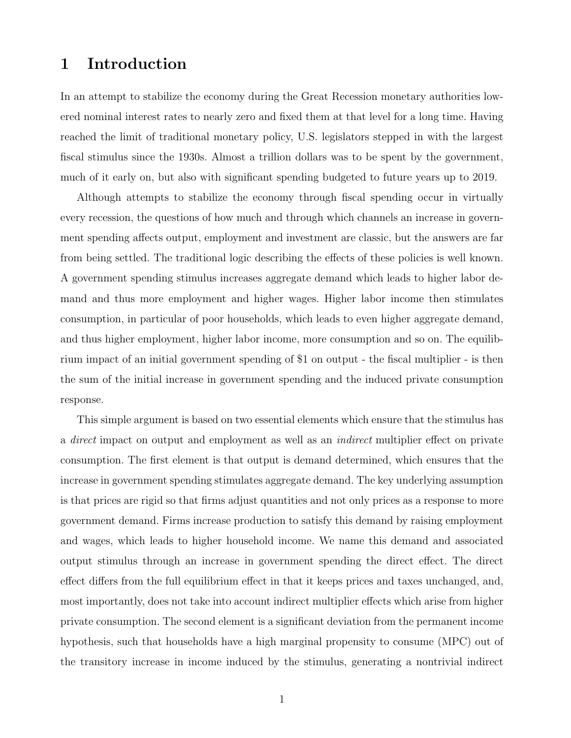## 1 Introduction

In an attempt to stabilize the economy during the Great Recession monetary authorities lowered nominal interest rates to nearly zero and fixed them at that level for a long time. Having reached the limit of traditional monetary policy, U.S. legislators stepped in with the largest fiscal stimulus since the 1930s. Almost a trillion dollars was to be spent by the government, much of it early on, but also with significant spending budgeted to future years up to 2019.

Although attempts to stabilize the economy through fiscal spending occur in virtually every recession, the questions of how much and through which channels an increase in government spending affects output, employment and investment are classic, but the answers are far from being settled. The traditional logic describing the effects of these policies is well known. A government spending stimulus increases aggregate demand which leads to higher labor demand and thus more employment and higher wages. Higher labor income then stimulates consumption, in particular of poor households, which leads to even higher aggregate demand, and thus higher employment, higher labor income, more consumption and so on. The equilibrium impact of an initial government spending of \$1 on output - the fiscal multiplier - is then the sum of the initial increase in government spending and the induced private consumption response.

This simple argument is based on two essential elements which ensure that the stimulus has a *direct* impact on output and employment as well as an *indirect* multiplier effect on private consumption. The first element is that output is demand determined, which ensures that the increase in government spending stimulates aggregate demand. The key underlying assumption is that prices are rigid so that firms adjust quantities and not only prices as a response to more government demand. Firms increase production to satisfy this demand by raising employment and wages, which leads to higher household income. We name this demand and associated output stimulus through an increase in government spending the direct effect. The direct effect differs from the full equilibrium effect in that it keeps prices and taxes unchanged, and, most importantly, does not take into account indirect multiplier effects which arise from higher private consumption. The second element is a significant deviation from the permanent income hypothesis, such that households have a high marginal propensity to consume (MPC) out of the transitory increase in income induced by the stimulus, generating a nontrivial indirect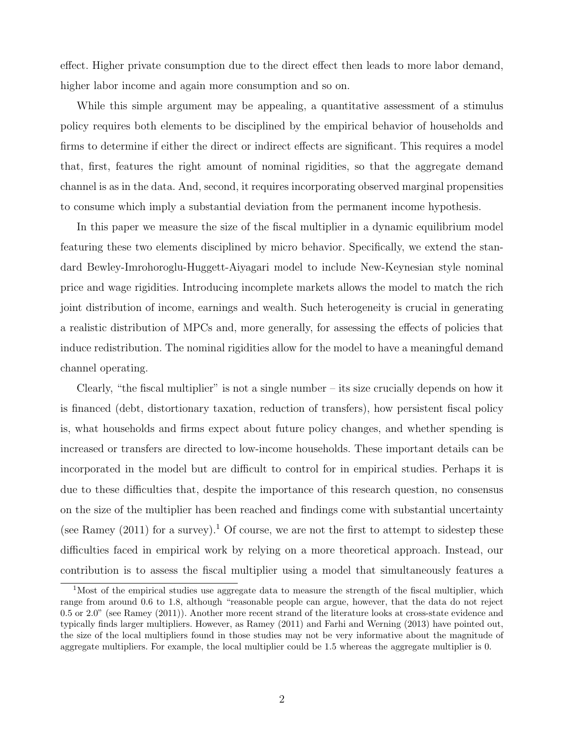effect. Higher private consumption due to the direct effect then leads to more labor demand, higher labor income and again more consumption and so on.

While this simple argument may be appealing, a quantitative assessment of a stimulus policy requires both elements to be disciplined by the empirical behavior of households and firms to determine if either the direct or indirect effects are significant. This requires a model that, first, features the right amount of nominal rigidities, so that the aggregate demand channel is as in the data. And, second, it requires incorporating observed marginal propensities to consume which imply a substantial deviation from the permanent income hypothesis.

In this paper we measure the size of the fiscal multiplier in a dynamic equilibrium model featuring these two elements disciplined by micro behavior. Specifically, we extend the standard Bewley-Imrohoroglu-Huggett-Aiyagari model to include New-Keynesian style nominal price and wage rigidities. Introducing incomplete markets allows the model to match the rich joint distribution of income, earnings and wealth. Such heterogeneity is crucial in generating a realistic distribution of MPCs and, more generally, for assessing the effects of policies that induce redistribution. The nominal rigidities allow for the model to have a meaningful demand channel operating.

Clearly, "the fiscal multiplier" is not a single number – its size crucially depends on how it is financed (debt, distortionary taxation, reduction of transfers), how persistent fiscal policy is, what households and firms expect about future policy changes, and whether spending is increased or transfers are directed to low-income households. These important details can be incorporated in the model but are difficult to control for in empirical studies. Perhaps it is due to these difficulties that, despite the importance of this research question, no consensus on the size of the multiplier has been reached and findings come with substantial uncertainty (see Ramey  $(2011)$  for a survey).<sup>1</sup> Of course, we are not the first to attempt to sidestep these difficulties faced in empirical work by relying on a more theoretical approach. Instead, our contribution is to assess the fiscal multiplier using a model that simultaneously features a

<sup>&</sup>lt;sup>1</sup>Most of the empirical studies use aggregate data to measure the strength of the fiscal multiplier, which range from around 0.6 to 1.8, although "reasonable people can argue, however, that the data do not reject 0.5 or 2.0" (see Ramey (2011)). Another more recent strand of the literature looks at cross-state evidence and typically finds larger multipliers. However, as Ramey (2011) and Farhi and Werning (2013) have pointed out, the size of the local multipliers found in those studies may not be very informative about the magnitude of aggregate multipliers. For example, the local multiplier could be 1.5 whereas the aggregate multiplier is 0.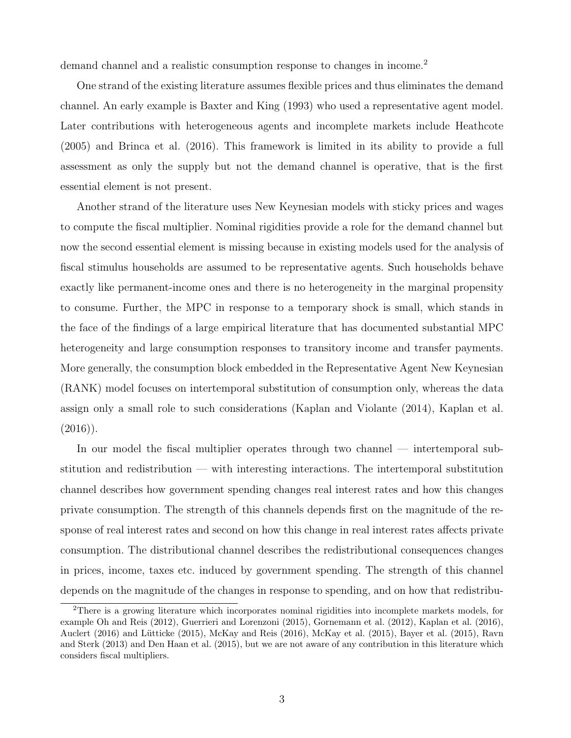demand channel and a realistic consumption response to changes in income.<sup>2</sup>

One strand of the existing literature assumes flexible prices and thus eliminates the demand channel. An early example is Baxter and King (1993) who used a representative agent model. Later contributions with heterogeneous agents and incomplete markets include Heathcote (2005) and Brinca et al. (2016). This framework is limited in its ability to provide a full assessment as only the supply but not the demand channel is operative, that is the first essential element is not present.

Another strand of the literature uses New Keynesian models with sticky prices and wages to compute the fiscal multiplier. Nominal rigidities provide a role for the demand channel but now the second essential element is missing because in existing models used for the analysis of fiscal stimulus households are assumed to be representative agents. Such households behave exactly like permanent-income ones and there is no heterogeneity in the marginal propensity to consume. Further, the MPC in response to a temporary shock is small, which stands in the face of the findings of a large empirical literature that has documented substantial MPC heterogeneity and large consumption responses to transitory income and transfer payments. More generally, the consumption block embedded in the Representative Agent New Keynesian (RANK) model focuses on intertemporal substitution of consumption only, whereas the data assign only a small role to such considerations (Kaplan and Violante (2014), Kaplan et al.  $(2016)$ ).

In our model the fiscal multiplier operates through two channel — intertemporal substitution and redistribution — with interesting interactions. The intertemporal substitution channel describes how government spending changes real interest rates and how this changes private consumption. The strength of this channels depends first on the magnitude of the response of real interest rates and second on how this change in real interest rates affects private consumption. The distributional channel describes the redistributional consequences changes in prices, income, taxes etc. induced by government spending. The strength of this channel depends on the magnitude of the changes in response to spending, and on how that redistribu-

<sup>2</sup>There is a growing literature which incorporates nominal rigidities into incomplete markets models, for example Oh and Reis (2012), Guerrieri and Lorenzoni (2015), Gornemann et al. (2012), Kaplan et al. (2016), Auclert (2016) and Lütticke (2015), McKay and Reis (2016), McKay et al. (2015), Bayer et al. (2015), Ravn and Sterk (2013) and Den Haan et al. (2015), but we are not aware of any contribution in this literature which considers fiscal multipliers.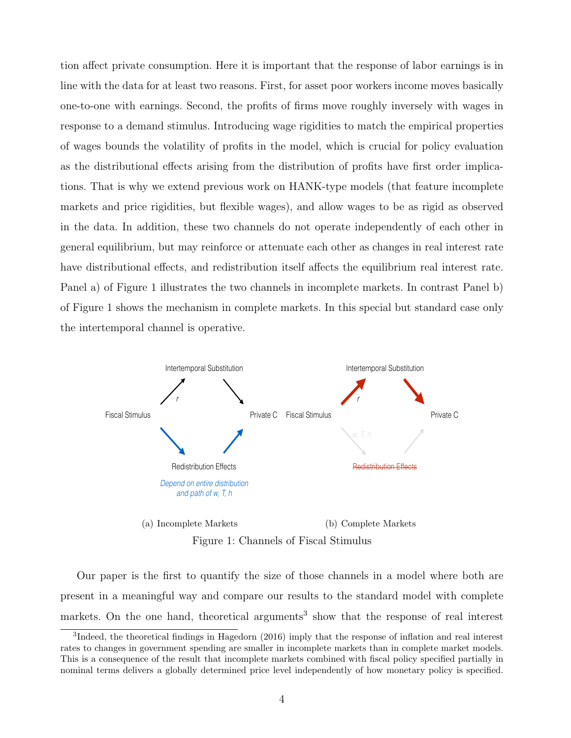tion affect private consumption. Here it is important that the response of labor earnings is in line with the data for at least two reasons. First, for asset poor workers income moves basically one-to-one with earnings. Second, the profits of firms move roughly inversely with wages in response to a demand stimulus. Introducing wage rigidities to match the empirical properties of wages bounds the volatility of profits in the model, which is crucial for policy evaluation as the distributional effects arising from the distribution of profits have first order implications. That is why we extend previous work on HANK-type models (that feature incomplete markets and price rigidities, but flexible wages), and allow wages to be as rigid as observed in the data. In addition, these two channels do not operate independently of each other in general equilibrium, but may reinforce or attenuate each other as changes in real interest rate have distributional effects, and redistribution itself affects the equilibrium real interest rate. Panel a) of Figure 1 illustrates the two channels in incomplete markets. In contrast Panel b) of Figure 1 shows the mechanism in complete markets. In this special but standard case only the intertemporal channel is operative.



Figure 1: Channels of Fiscal Stimulus

Our paper is the first to quantify the size of those channels in a model where both are present in a meaningful way and compare our results to the standard model with complete markets. On the one hand, theoretical arguments<sup>3</sup> show that the response of real interest

<sup>&</sup>lt;sup>3</sup>Indeed, the theoretical findings in Hagedorn (2016) imply that the response of inflation and real interest rates to changes in government spending are smaller in incomplete markets than in complete market models. This is a consequence of the result that incomplete markets combined with fiscal policy specified partially in nominal terms delivers a globally determined price level independently of how monetary policy is specified.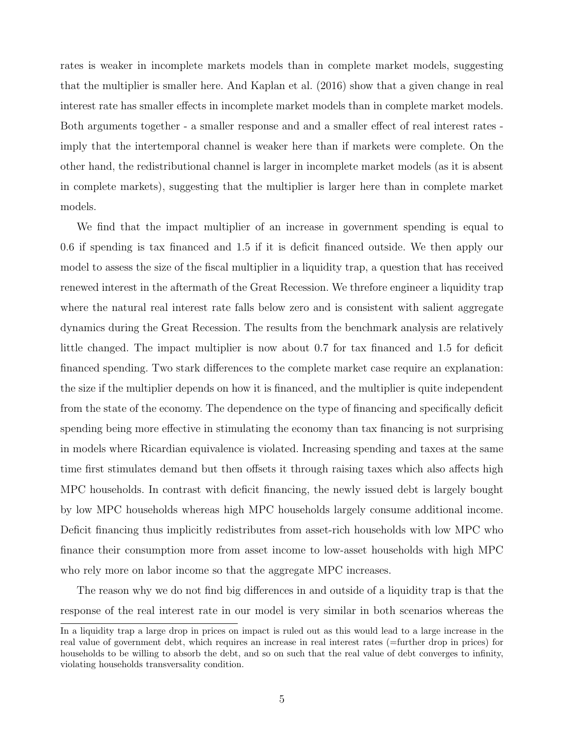rates is weaker in incomplete markets models than in complete market models, suggesting that the multiplier is smaller here. And Kaplan et al. (2016) show that a given change in real interest rate has smaller effects in incomplete market models than in complete market models. Both arguments together - a smaller response and and a smaller effect of real interest rates imply that the intertemporal channel is weaker here than if markets were complete. On the other hand, the redistributional channel is larger in incomplete market models (as it is absent in complete markets), suggesting that the multiplier is larger here than in complete market models.

We find that the impact multiplier of an increase in government spending is equal to 0.6 if spending is tax financed and 1.5 if it is deficit financed outside. We then apply our model to assess the size of the fiscal multiplier in a liquidity trap, a question that has received renewed interest in the aftermath of the Great Recession. We threfore engineer a liquidity trap where the natural real interest rate falls below zero and is consistent with salient aggregate dynamics during the Great Recession. The results from the benchmark analysis are relatively little changed. The impact multiplier is now about 0.7 for tax financed and 1.5 for deficit financed spending. Two stark differences to the complete market case require an explanation: the size if the multiplier depends on how it is financed, and the multiplier is quite independent from the state of the economy. The dependence on the type of financing and specifically deficit spending being more effective in stimulating the economy than tax financing is not surprising in models where Ricardian equivalence is violated. Increasing spending and taxes at the same time first stimulates demand but then offsets it through raising taxes which also affects high MPC households. In contrast with deficit financing, the newly issued debt is largely bought by low MPC households whereas high MPC households largely consume additional income. Deficit financing thus implicitly redistributes from asset-rich households with low MPC who finance their consumption more from asset income to low-asset households with high MPC who rely more on labor income so that the aggregate MPC increases.

The reason why we do not find big differences in and outside of a liquidity trap is that the response of the real interest rate in our model is very similar in both scenarios whereas the

In a liquidity trap a large drop in prices on impact is ruled out as this would lead to a large increase in the real value of government debt, which requires an increase in real interest rates (=further drop in prices) for households to be willing to absorb the debt, and so on such that the real value of debt converges to infinity, violating households transversality condition.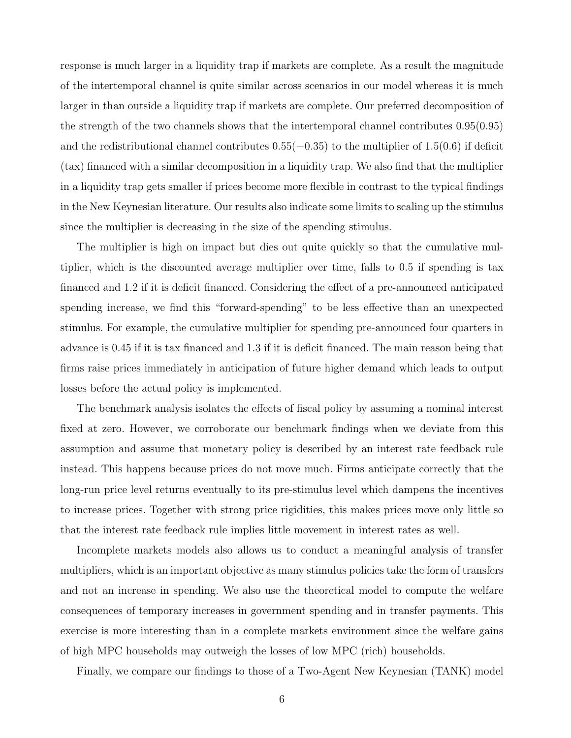response is much larger in a liquidity trap if markets are complete. As a result the magnitude of the intertemporal channel is quite similar across scenarios in our model whereas it is much larger in than outside a liquidity trap if markets are complete. Our preferred decomposition of the strength of the two channels shows that the intertemporal channel contributes 0.95(0.95) and the redistributional channel contributes  $0.55(-0.35)$  to the multiplier of  $1.5(0.6)$  if deficit (tax) financed with a similar decomposition in a liquidity trap. We also find that the multiplier in a liquidity trap gets smaller if prices become more flexible in contrast to the typical findings in the New Keynesian literature. Our results also indicate some limits to scaling up the stimulus since the multiplier is decreasing in the size of the spending stimulus.

The multiplier is high on impact but dies out quite quickly so that the cumulative multiplier, which is the discounted average multiplier over time, falls to 0.5 if spending is tax financed and 1.2 if it is deficit financed. Considering the effect of a pre-announced anticipated spending increase, we find this "forward-spending" to be less effective than an unexpected stimulus. For example, the cumulative multiplier for spending pre-announced four quarters in advance is 0.45 if it is tax financed and 1.3 if it is deficit financed. The main reason being that firms raise prices immediately in anticipation of future higher demand which leads to output losses before the actual policy is implemented.

The benchmark analysis isolates the effects of fiscal policy by assuming a nominal interest fixed at zero. However, we corroborate our benchmark findings when we deviate from this assumption and assume that monetary policy is described by an interest rate feedback rule instead. This happens because prices do not move much. Firms anticipate correctly that the long-run price level returns eventually to its pre-stimulus level which dampens the incentives to increase prices. Together with strong price rigidities, this makes prices move only little so that the interest rate feedback rule implies little movement in interest rates as well.

Incomplete markets models also allows us to conduct a meaningful analysis of transfer multipliers, which is an important objective as many stimulus policies take the form of transfers and not an increase in spending. We also use the theoretical model to compute the welfare consequences of temporary increases in government spending and in transfer payments. This exercise is more interesting than in a complete markets environment since the welfare gains of high MPC households may outweigh the losses of low MPC (rich) households.

Finally, we compare our findings to those of a Two-Agent New Keynesian (TANK) model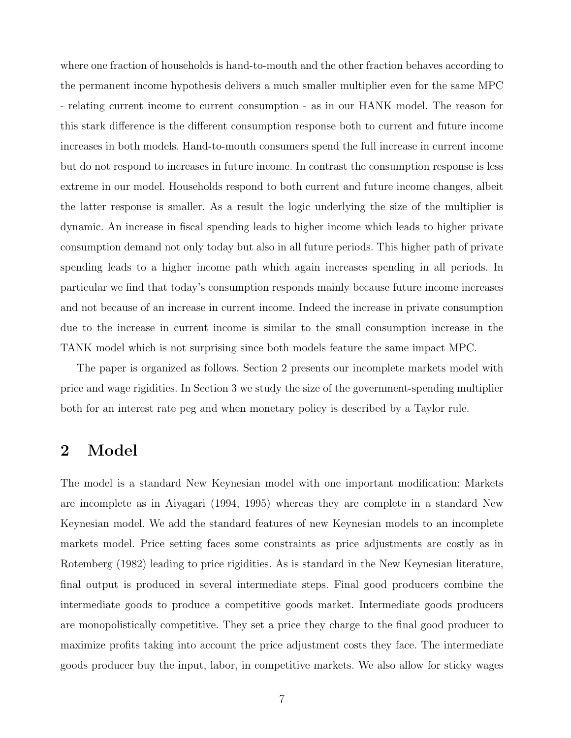where one fraction of households is hand-to-mouth and the other fraction behaves according to the permanent income hypothesis delivers a much smaller multiplier even for the same MPC - relating current income to current consumption - as in our HANK model. The reason for this stark difference is the different consumption response both to current and future income increases in both models. Hand-to-mouth consumers spend the full increase in current income but do not respond to increases in future income. In contrast the consumption response is less extreme in our model. Households respond to both current and future income changes, albeit the latter response is smaller. As a result the logic underlying the size of the multiplier is dynamic. An increase in fiscal spending leads to higher income which leads to higher private consumption demand not only today but also in all future periods. This higher path of private spending leads to a higher income path which again increases spending in all periods. In particular we find that today's consumption responds mainly because future income increases and not because of an increase in current income. Indeed the increase in private consumption due to the increase in current income is similar to the small consumption increase in the TANK model which is not surprising since both models feature the same impact MPC.

The paper is organized as follows. Section 2 presents our incomplete markets model with price and wage rigidities. In Section 3 we study the size of the government-spending multiplier both for an interest rate peg and when monetary policy is described by a Taylor rule.

## 2 Model

The model is a standard New Keynesian model with one important modification: Markets are incomplete as in Aiyagari (1994, 1995) whereas they are complete in a standard New Keynesian model. We add the standard features of new Keynesian models to an incomplete markets model. Price setting faces some constraints as price adjustments are costly as in Rotemberg (1982) leading to price rigidities. As is standard in the New Keynesian literature, final output is produced in several intermediate steps. Final good producers combine the intermediate goods to produce a competitive goods market. Intermediate goods producers are monopolistically competitive. They set a price they charge to the final good producer to maximize profits taking into account the price adjustment costs they face. The intermediate goods producer buy the input, labor, in competitive markets. We also allow for sticky wages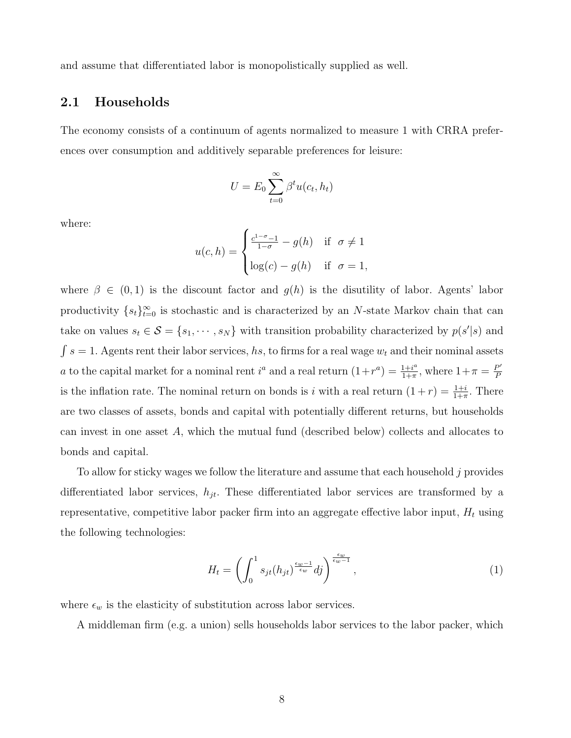and assume that differentiated labor is monopolistically supplied as well.

### 2.1 Households

The economy consists of a continuum of agents normalized to measure 1 with CRRA preferences over consumption and additively separable preferences for leisure:

$$
U = E_0 \sum_{t=0}^{\infty} \beta^t u(c_t, h_t)
$$

where:

$$
u(c,h) = \begin{cases} \frac{c^{1-\sigma}-1}{1-\sigma} - g(h) & \text{if } \sigma \neq 1\\ \log(c) - g(h) & \text{if } \sigma = 1, \end{cases}
$$

where  $\beta \in (0,1)$  is the discount factor and  $g(h)$  is the disutility of labor. Agents' labor productivity  $\{s_t\}_{t=0}^{\infty}$  is stochastic and is characterized by an N-state Markov chain that can take on values  $s_t \in \mathcal{S} = \{s_1, \dots, s_N\}$  with transition probability characterized by  $p(s'|s)$  and  $\int s = 1$ . Agents rent their labor services, hs, to firms for a real wage  $w_t$  and their nominal assets a to the capital market for a nominal rent  $i^a$  and a real return  $(1+r^a) = \frac{1+i^a}{1+r^a}$  $\frac{1+i^a}{1+\pi}$ , where  $1+\pi = \frac{P'}{P}$ P is the inflation rate. The nominal return on bonds is i with a real return  $(1+r) = \frac{1+i}{1+\pi}$ . There are two classes of assets, bonds and capital with potentially different returns, but households can invest in one asset A, which the mutual fund (described below) collects and allocates to bonds and capital.

To allow for sticky wages we follow the literature and assume that each household j provides differentiated labor services,  $h_{jt}$ . These differentiated labor services are transformed by a representative, competitive labor packer firm into an aggregate effective labor input,  $H_t$  using the following technologies:

$$
H_t = \left(\int_0^1 s_{jt}(h_{jt})^{\frac{\epsilon_w - 1}{\epsilon_w}} df\right)^{\frac{\epsilon_w}{\epsilon_w - 1}},\tag{1}
$$

where  $\epsilon_w$  is the elasticity of substitution across labor services.

A middleman firm (e.g. a union) sells households labor services to the labor packer, which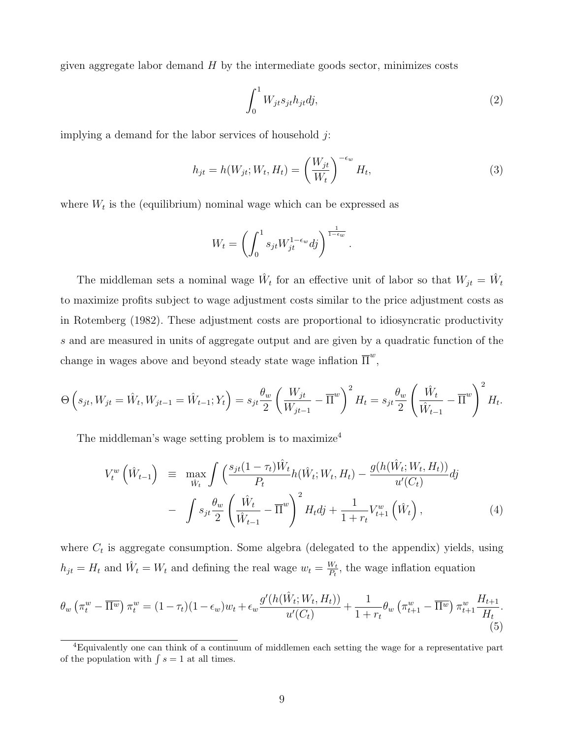given aggregate labor demand  $H$  by the intermediate goods sector, minimizes costs

$$
\int_0^1 W_{jt} s_{jt} h_{jt} dj,\tag{2}
$$

implying a demand for the labor services of household  $j$ :

$$
h_{jt} = h(W_{jt}; W_t, H_t) = \left(\frac{W_{jt}}{W_t}\right)^{-\epsilon_w} H_t,
$$
\n(3)

.

where  $W_t$  is the (equilibrium) nominal wage which can be expressed as

$$
W_t = \left(\int_0^1 s_{jt} W_{jt}^{1-\epsilon_w} dj\right)^{\frac{1}{1-\epsilon_w}}
$$

The middleman sets a nominal wage  $\hat{W}_t$  for an effective unit of labor so that  $W_{jt} = \hat{W}_t$ to maximize profits subject to wage adjustment costs similar to the price adjustment costs as in Rotemberg (1982). These adjustment costs are proportional to idiosyncratic productivity s and are measured in units of aggregate output and are given by a quadratic function of the change in wages above and beyond steady state wage inflation  $\overline{\Pi}^w$ ,

$$
\Theta\left(s_{jt}, W_{jt} = \hat{W}_{t}, W_{jt-1} = \hat{W}_{t-1}; Y_t\right) = s_{jt} \frac{\theta_w}{2} \left(\frac{W_{jt}}{W_{jt-1}} - \overline{\Pi}^w\right)^2 H_t = s_{jt} \frac{\theta_w}{2} \left(\frac{\hat{W}_t}{\hat{W}_{t-1}} - \overline{\Pi}^w\right)^2 H_t.
$$

The middleman's wage setting problem is to maximize<sup>4</sup>

$$
V_t^w\left(\hat{W}_{t-1}\right) \equiv \max_{\hat{W}_t} \int \left(\frac{s_{jt}(1-\tau_t)\hat{W}_t}{P_t} h(\hat{W}_t; W_t, H_t) - \frac{g(h(\hat{W}_t; W_t, H_t))}{u'(C_t)} \, dy\right) - \int s_{jt} \frac{\theta_w}{2} \left(\frac{\hat{W}_t}{\hat{W}_{t-1}} - \overline{\Pi}^w\right)^2 H_t \, dy + \frac{1}{1+r_t} V_{t+1}^w\left(\hat{W}_t\right),
$$
\n(4)

where  $C_t$  is aggregate consumption. Some algebra (delegated to the appendix) yields, using  $h_{jt} = H_t$  and  $\hat{W}_t = W_t$  and defining the real wage  $w_t = \frac{W_t}{P_t}$  $\frac{W_t}{P_t}$ , the wage inflation equation

$$
\theta_w \left( \pi_t^w - \overline{\Pi^w} \right) \pi_t^w = (1 - \tau_t)(1 - \epsilon_w)w_t + \epsilon_w \frac{g'(h(\hat{W}_t; W_t, H_t))}{u'(C_t)} + \frac{1}{1 + r_t} \theta_w \left( \pi_{t+1}^w - \overline{\Pi^w} \right) \pi_{t+1}^w \frac{H_{t+1}}{H_t}.
$$
\n(5)

<sup>4</sup>Equivalently one can think of a continuum of middlemen each setting the wage for a representative part of the population with  $\int s = 1$  at all times.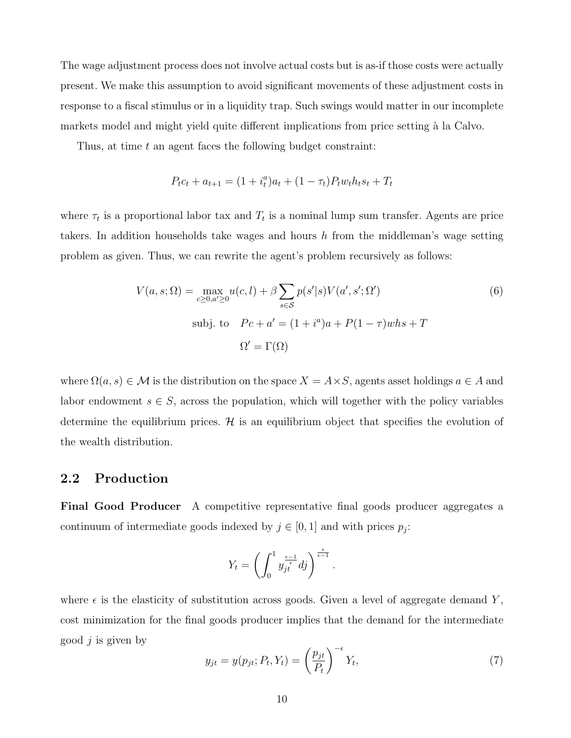The wage adjustment process does not involve actual costs but is as-if those costs were actually present. We make this assumption to avoid significant movements of these adjustment costs in response to a fiscal stimulus or in a liquidity trap. Such swings would matter in our incomplete markets model and might yield quite different implications from price setting à la Calvo.

Thus, at time  $t$  an agent faces the following budget constraint:

$$
P_t c_t + a_{t+1} = (1 + i_t^a) a_t + (1 - \tau_t) P_t w_t h_t s_t + T_t
$$

where  $\tau_t$  is a proportional labor tax and  $T_t$  is a nominal lump sum transfer. Agents are price takers. In addition households take wages and hours  $h$  from the middleman's wage setting problem as given. Thus, we can rewrite the agent's problem recursively as follows:

$$
V(a,s;\Omega) = \max_{c \ge 0, a' \ge 0} u(c,l) + \beta \sum_{s \in S} p(s'|s) V(a',s';\Omega')
$$
\n
$$
\text{subj. to} \quad Pc + a' = (1 + i^a)a + P(1 - \tau)whs + T
$$
\n
$$
\Omega' = \Gamma(\Omega)
$$
\n(6)

where  $\Omega(a, s) \in \mathcal{M}$  is the distribution on the space  $X = A \times S$ , agents asset holdings  $a \in A$  and labor endowment  $s \in S$ , across the population, which will together with the policy variables determine the equilibrium prices.  $\mathcal{H}$  is an equilibrium object that specifies the evolution of the wealth distribution.

### 2.2 Production

Final Good Producer A competitive representative final goods producer aggregates a continuum of intermediate goods indexed by  $j \in [0, 1]$  and with prices  $p_j$ :

$$
Y_t = \left(\int_0^1 y_{jt}^{\frac{\epsilon - 1}{\epsilon}} df\right)^{\frac{\epsilon}{\epsilon - 1}}.
$$

where  $\epsilon$  is the elasticity of substitution across goods. Given a level of aggregate demand Y, cost minimization for the final goods producer implies that the demand for the intermediate good  $j$  is given by

$$
y_{jt} = y(p_{jt}; P_t, Y_t) = \left(\frac{p_{jt}}{P_t}\right)^{-\epsilon} Y_t,\tag{7}
$$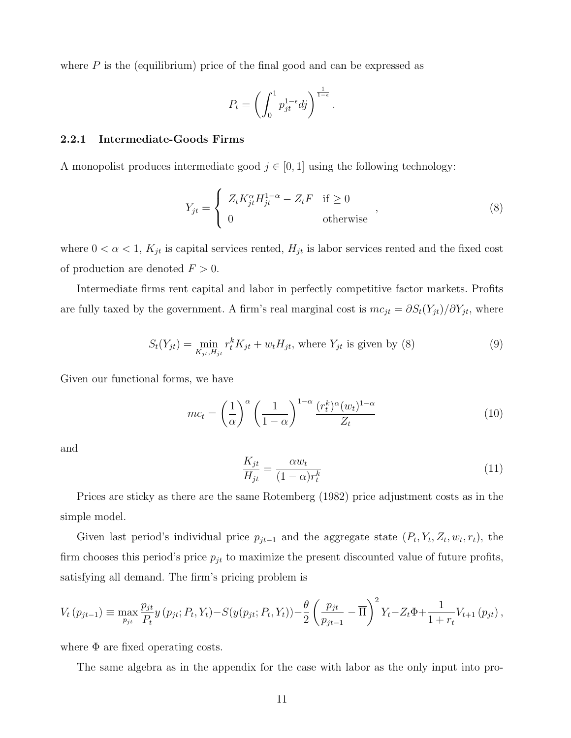where  $P$  is the (equilibrium) price of the final good and can be expressed as

$$
P_t = \left(\int_0^1 p_{jt}^{1-\epsilon} dj\right)^{\frac{1}{1-\epsilon}}
$$

#### 2.2.1 Intermediate-Goods Firms

A monopolist produces intermediate good  $j \in [0, 1]$  using the following technology:

$$
Y_{jt} = \begin{cases} Z_t K_{jt}^{\alpha} H_{jt}^{1-\alpha} - Z_t F & \text{if } \ge 0 \\ 0 & \text{otherwise} \end{cases}
$$
 (8)

.

where  $0 < \alpha < 1$ ,  $K_{jt}$  is capital services rented,  $H_{jt}$  is labor services rented and the fixed cost of production are denoted  $F > 0$ .

Intermediate firms rent capital and labor in perfectly competitive factor markets. Profits are fully taxed by the government. A firm's real marginal cost is  $mc_{jt} = \partial S_t(Y_{jt})/\partial Y_{jt}$ , where

$$
S_t(Y_{jt}) = \min_{K_{jt}, H_{jt}} r_t^K K_{jt} + w_t H_{jt}, \text{ where } Y_{jt} \text{ is given by (8)}
$$
 (9)

Given our functional forms, we have

$$
mc_t = \left(\frac{1}{\alpha}\right)^{\alpha} \left(\frac{1}{1-\alpha}\right)^{1-\alpha} \frac{(r_t^k)^{\alpha}(w_t)^{1-\alpha}}{Z_t}
$$
(10)

and

$$
\frac{K_{jt}}{H_{jt}} = \frac{\alpha w_t}{(1 - \alpha)r_t^k} \tag{11}
$$

Prices are sticky as there are the same Rotemberg (1982) price adjustment costs as in the simple model.

Given last period's individual price  $p_{jt-1}$  and the aggregate state  $(P_t, Y_t, Z_t, w_t, r_t)$ , the firm chooses this period's price  $p_{jt}$  to maximize the present discounted value of future profits, satisfying all demand. The firm's pricing problem is

$$
V_t(p_{jt-1}) \equiv \max_{p_{jt}} \frac{p_{jt}}{P_t} y(p_{jt}; P_t, Y_t) - S(y(p_{jt}; P_t, Y_t)) - \frac{\theta}{2} \left( \frac{p_{jt}}{p_{jt-1}} - \overline{\Pi} \right)^2 Y_t - Z_t \Phi + \frac{1}{1 + r_t} V_{t+1}(p_{jt}),
$$

where  $\Phi$  are fixed operating costs.

The same algebra as in the appendix for the case with labor as the only input into pro-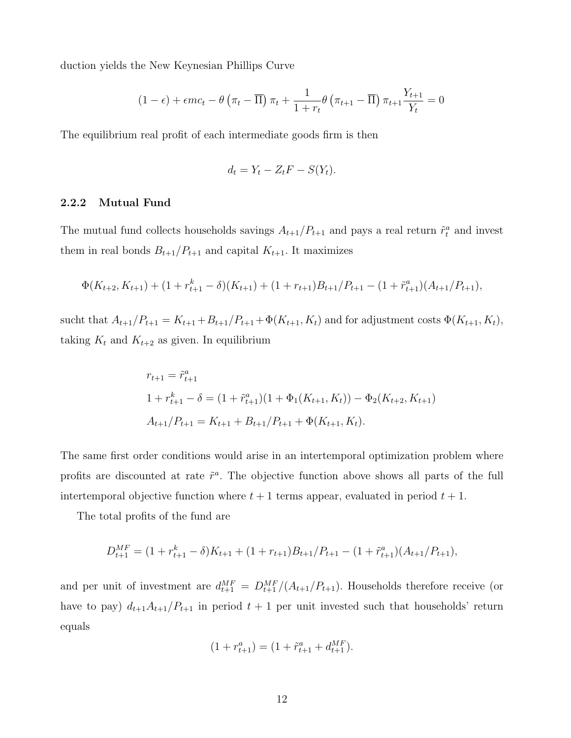duction yields the New Keynesian Phillips Curve

$$
(1 - \epsilon) + \epsilon mc_t - \theta \left(\pi_t - \overline{\Pi}\right) \pi_t + \frac{1}{1 + r_t} \theta \left(\pi_{t+1} - \overline{\Pi}\right) \pi_{t+1} \frac{Y_{t+1}}{Y_t} = 0
$$

The equilibrium real profit of each intermediate goods firm is then

$$
d_t = Y_t - Z_t F - S(Y_t).
$$

#### 2.2.2 Mutual Fund

The mutual fund collects households savings  $A_{t+1}/P_{t+1}$  and pays a real return  $\tilde{r}_t^a$  and invest them in real bonds  $B_{t+1}/P_{t+1}$  and capital  $K_{t+1}$ . It maximizes

$$
\Phi(K_{t+2}, K_{t+1}) + (1 + r_{t+1}^k - \delta)(K_{t+1}) + (1 + r_{t+1})B_{t+1}/P_{t+1} - (1 + \tilde{r}_{t+1}^a)(A_{t+1}/P_{t+1}),
$$

sucht that  $A_{t+1}/P_{t+1} = K_{t+1} + B_{t+1}/P_{t+1} + \Phi(K_{t+1}, K_t)$  and for adjustment costs  $\Phi(K_{t+1}, K_t)$ , taking  $K_t$  and  $K_{t+2}$  as given. In equilibrium

$$
r_{t+1} = \tilde{r}_{t+1}^a
$$
  
\n
$$
1 + r_{t+1}^k - \delta = (1 + \tilde{r}_{t+1}^a)(1 + \Phi_1(K_{t+1}, K_t)) - \Phi_2(K_{t+2}, K_{t+1})
$$
  
\n
$$
A_{t+1}/P_{t+1} = K_{t+1} + B_{t+1}/P_{t+1} + \Phi(K_{t+1}, K_t).
$$

The same first order conditions would arise in an intertemporal optimization problem where profits are discounted at rate  $\tilde{r}^a$ . The objective function above shows all parts of the full intertemporal objective function where  $t + 1$  terms appear, evaluated in period  $t + 1$ .

The total profits of the fund are

$$
D_{t+1}^{MF} = (1 + r_{t+1}^k - \delta)K_{t+1} + (1 + r_{t+1})B_{t+1}/P_{t+1} - (1 + \tilde{r}_{t+1}^a)(A_{t+1}/P_{t+1}),
$$

and per unit of investment are  $d_{t+1}^{MF} = D_{t+1}^{MF}/(A_{t+1}/P_{t+1})$ . Households therefore receive (or have to pay)  $d_{t+1}A_{t+1}/P_{t+1}$  in period  $t+1$  per unit invested such that households' return equals

$$
(1 + r_{t+1}^a) = (1 + \tilde{r}_{t+1}^a + d_{t+1}^{MF}).
$$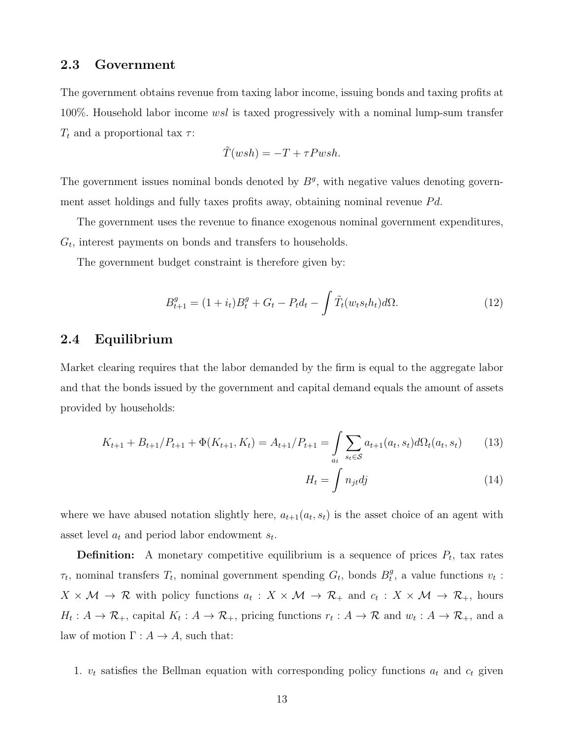### 2.3 Government

The government obtains revenue from taxing labor income, issuing bonds and taxing profits at 100%. Household labor income  $wsl$  is taxed progressively with a nominal lump-sum transfer  $T_t$  and a proportional tax  $\tau$ :

$$
\tilde{T}(wsh) = -T + \tau P w sh.
$$

The government issues nominal bonds denoted by  $B<sup>g</sup>$ , with negative values denoting government asset holdings and fully taxes profits away, obtaining nominal revenue  $Pd$ .

The government uses the revenue to finance exogenous nominal government expenditures,  $G_t$ , interest payments on bonds and transfers to households.

The government budget constraint is therefore given by:

$$
B_{t+1}^{g} = (1 + i_t)B_t^g + G_t - P_t d_t - \int \tilde{T}_t(w_t s_t h_t) d\Omega.
$$
 (12)

### 2.4 Equilibrium

Market clearing requires that the labor demanded by the firm is equal to the aggregate labor and that the bonds issued by the government and capital demand equals the amount of assets provided by households:

$$
K_{t+1} + B_{t+1}/P_{t+1} + \Phi(K_{t+1}, K_t) = A_{t+1}/P_{t+1} = \int_{a_t} \sum_{s_t \in \mathcal{S}} a_{t+1}(a_t, s_t) d\Omega_t(a_t, s_t)
$$
(13)

$$
H_t = \int n_{jt} dj \tag{14}
$$

where we have abused notation slightly here,  $a_{t+1}(a_t, s_t)$  is the asset choice of an agent with asset level  $a_t$  and period labor endowment  $s_t$ .

**Definition:** A monetary competitive equilibrium is a sequence of prices  $P_t$ , tax rates  $\tau_t$ , nominal transfers  $T_t$ , nominal government spending  $G_t$ , bonds  $B_t^g$  $t^g$ , a value functions  $v_t$ :  $X \times M \to \mathcal{R}$  with policy functions  $a_t: X \times M \to \mathcal{R}_+$  and  $c_t: X \times M \to \mathcal{R}_+$ , hours  $H_t: A \to \mathcal{R}_+$ , capital  $K_t: A \to \mathcal{R}_+$ , pricing functions  $r_t: A \to \mathcal{R}$  and  $w_t: A \to \mathcal{R}_+$ , and a law of motion  $\Gamma: A \to A$ , such that:

1.  $v_t$  satisfies the Bellman equation with corresponding policy functions  $a_t$  and  $c_t$  given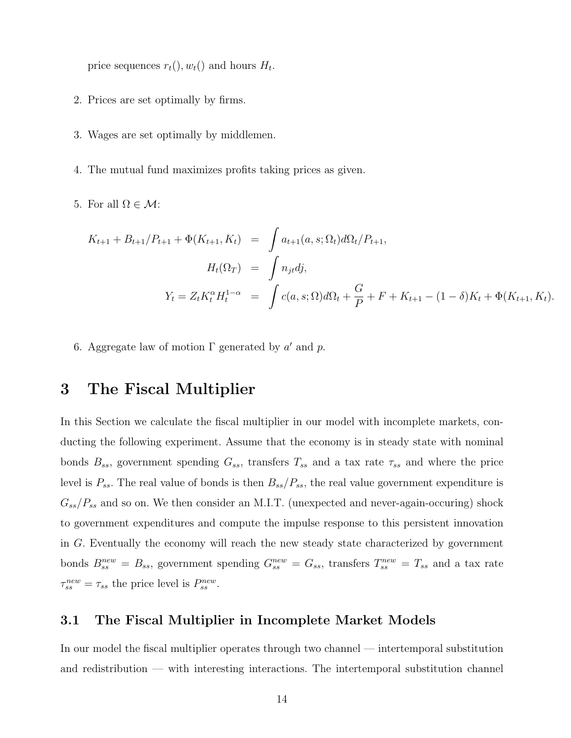price sequences  $r_t($ ,  $w_t()$  and hours  $H_t$ .

- 2. Prices are set optimally by firms.
- 3. Wages are set optimally by middlemen.
- 4. The mutual fund maximizes profits taking prices as given.
- 5. For all  $\Omega \in \mathcal{M}$ :

$$
K_{t+1} + B_{t+1}/P_{t+1} + \Phi(K_{t+1}, K_t) = \int a_{t+1}(a, s; \Omega_t) d\Omega_t / P_{t+1},
$$
  
\n
$$
H_t(\Omega_T) = \int n_{jt} d j,
$$
  
\n
$$
Y_t = Z_t K_t^{\alpha} H_t^{1-\alpha} = \int c(a, s; \Omega) d\Omega_t + \frac{G}{P} + F + K_{t+1} - (1 - \delta)K_t + \Phi(K_{t+1}, K_t).
$$

6. Aggregate law of motion  $\Gamma$  generated by a' and p.

## 3 The Fiscal Multiplier

In this Section we calculate the fiscal multiplier in our model with incomplete markets, conducting the following experiment. Assume that the economy is in steady state with nominal bonds  $B_{ss}$ , government spending  $G_{ss}$ , transfers  $T_{ss}$  and a tax rate  $\tau_{ss}$  and where the price level is  $P_{ss}$ . The real value of bonds is then  $B_{ss}/P_{ss}$ , the real value government expenditure is  $G_{ss}/P_{ss}$  and so on. We then consider an M.I.T. (unexpected and never-again-occuring) shock to government expenditures and compute the impulse response to this persistent innovation in G. Eventually the economy will reach the new steady state characterized by government bonds  $B_{ss}^{new} = B_{ss}$ , government spending  $G_{ss}^{new} = G_{ss}$ , transfers  $T_{ss}^{new} = T_{ss}$  and a tax rate  $\tau_{ss}^{new} = \tau_{ss}$  the price level is  $P_{ss}^{new}$ .

### 3.1 The Fiscal Multiplier in Incomplete Market Models

In our model the fiscal multiplier operates through two channel — intertemporal substitution and redistribution — with interesting interactions. The intertemporal substitution channel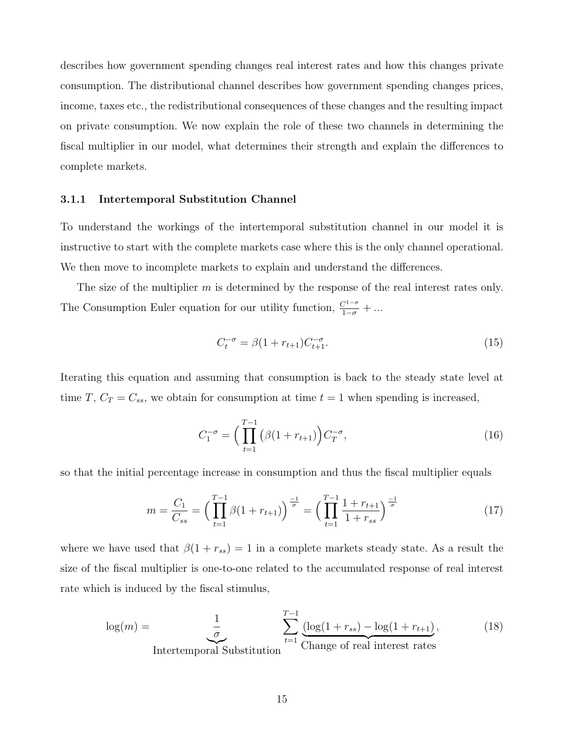describes how government spending changes real interest rates and how this changes private consumption. The distributional channel describes how government spending changes prices, income, taxes etc., the redistributional consequences of these changes and the resulting impact on private consumption. We now explain the role of these two channels in determining the fiscal multiplier in our model, what determines their strength and explain the differences to complete markets.

#### 3.1.1 Intertemporal Substitution Channel

To understand the workings of the intertemporal substitution channel in our model it is instructive to start with the complete markets case where this is the only channel operational. We then move to incomplete markets to explain and understand the differences.

The size of the multiplier  $m$  is determined by the response of the real interest rates only. The Consumption Euler equation for our utility function,  $\frac{C^{1-\sigma}}{1-\sigma} + \dots$ 

$$
C_t^{-\sigma} = \beta (1 + r_{t+1}) C_{t+1}^{-\sigma}.
$$
\n(15)

Iterating this equation and assuming that consumption is back to the steady state level at time T,  $C_T = C_{ss}$ , we obtain for consumption at time  $t = 1$  when spending is increased,

$$
C_1^{-\sigma} = \left(\prod_{t=1}^{T-1} (\beta(1+r_{t+1})\right) C_T^{-\sigma},\tag{16}
$$

so that the initial percentage increase in consumption and thus the fiscal multiplier equals

$$
m = \frac{C_1}{C_{ss}} = \left(\prod_{t=1}^{T-1} \beta(1 + r_{t+1})\right)^{\frac{-1}{\sigma}} = \left(\prod_{t=1}^{T-1} \frac{1 + r_{t+1}}{1 + r_{ss}}\right)^{\frac{-1}{\sigma}}
$$
(17)

where we have used that  $\beta(1 + r_{ss}) = 1$  in a complete markets steady state. As a result the size of the fiscal multiplier is one-to-one related to the accumulated response of real interest rate which is induced by the fiscal stimulus,

$$
\log(m) = \underbrace{\frac{1}{\sigma}}_{\text{Intertemporal Substitution}} \sum_{t=1}^{T-1} \underbrace{(\log(1 + r_{ss}) - \log(1 + r_{t+1})}_{\text{Change of real interest rates}}, \tag{18}
$$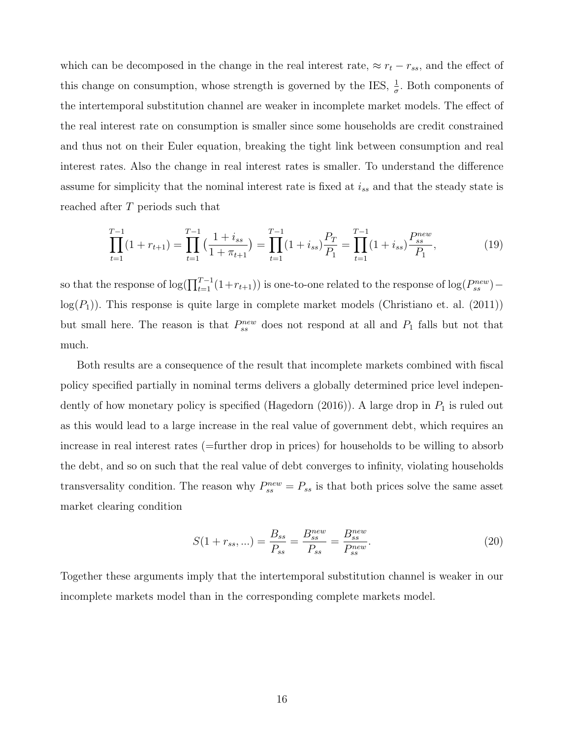which can be decomposed in the change in the real interest rate,  $\approx r_t - r_{ss}$ , and the effect of this change on consumption, whose strength is governed by the IES,  $\frac{1}{\sigma}$ . Both components of the intertemporal substitution channel are weaker in incomplete market models. The effect of the real interest rate on consumption is smaller since some households are credit constrained and thus not on their Euler equation, breaking the tight link between consumption and real interest rates. Also the change in real interest rates is smaller. To understand the difference assume for simplicity that the nominal interest rate is fixed at  $i_{ss}$  and that the steady state is reached after T periods such that

$$
\prod_{t=1}^{T-1} (1 + r_{t+1}) = \prod_{t=1}^{T-1} \left( \frac{1 + i_{ss}}{1 + \pi_{t+1}} \right) = \prod_{t=1}^{T-1} (1 + i_{ss}) \frac{P_T}{P_1} = \prod_{t=1}^{T-1} (1 + i_{ss}) \frac{P_{ss}}{P_1},\tag{19}
$$

so that the response of  $\log(\prod_{t=1}^{T-1}(1+r_{t+1}))$  is one-to-one related to the response of  $\log(P_{ss}^{new})$  –  $log(P_1)$ . This response is quite large in complete market models (Christiano et. al. (2011)) but small here. The reason is that  $P_{ss}^{new}$  does not respond at all and  $P_1$  falls but not that much.

Both results are a consequence of the result that incomplete markets combined with fiscal policy specified partially in nominal terms delivers a globally determined price level independently of how monetary policy is specified (Hagedorn (2016)). A large drop in  $P_1$  is ruled out as this would lead to a large increase in the real value of government debt, which requires an increase in real interest rates (=further drop in prices) for households to be willing to absorb the debt, and so on such that the real value of debt converges to infinity, violating households transversality condition. The reason why  $P_{ss}^{new} = P_{ss}$  is that both prices solve the same asset market clearing condition

$$
S(1 + r_{ss}, \ldots) = \frac{B_{ss}}{P_{ss}} = \frac{B_{ss}^{new}}{P_{ss}} = \frac{B_{ss}^{new}}{P_{ss}^{new}}.
$$
\n(20)

Together these arguments imply that the intertemporal substitution channel is weaker in our incomplete markets model than in the corresponding complete markets model.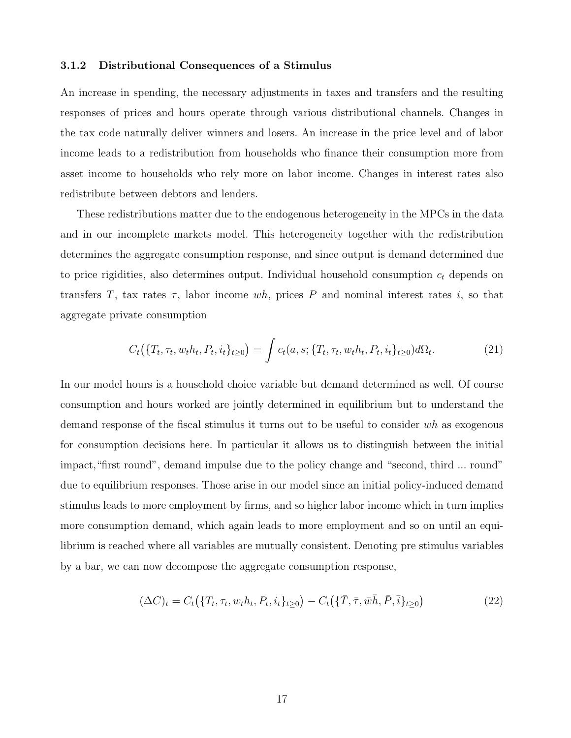#### 3.1.2 Distributional Consequences of a Stimulus

An increase in spending, the necessary adjustments in taxes and transfers and the resulting responses of prices and hours operate through various distributional channels. Changes in the tax code naturally deliver winners and losers. An increase in the price level and of labor income leads to a redistribution from households who finance their consumption more from asset income to households who rely more on labor income. Changes in interest rates also redistribute between debtors and lenders.

These redistributions matter due to the endogenous heterogeneity in the MPCs in the data and in our incomplete markets model. This heterogeneity together with the redistribution determines the aggregate consumption response, and since output is demand determined due to price rigidities, also determines output. Individual household consumption  $c_t$  depends on transfers T, tax rates  $\tau$ , labor income wh, prices P and nominal interest rates i, so that aggregate private consumption

$$
C_t(\{T_t, \tau_t, w_t h_t, P_t, i_t\}_{t\geq 0}) = \int c_t(a, s; \{T_t, \tau_t, w_t h_t, P_t, i_t\}_{t\geq 0}) d\Omega_t.
$$
\n(21)

In our model hours is a household choice variable but demand determined as well. Of course consumption and hours worked are jointly determined in equilibrium but to understand the demand response of the fiscal stimulus it turns out to be useful to consider wh as exogenous for consumption decisions here. In particular it allows us to distinguish between the initial impact,"first round", demand impulse due to the policy change and "second, third ... round" due to equilibrium responses. Those arise in our model since an initial policy-induced demand stimulus leads to more employment by firms, and so higher labor income which in turn implies more consumption demand, which again leads to more employment and so on until an equilibrium is reached where all variables are mutually consistent. Denoting pre stimulus variables by a bar, we can now decompose the aggregate consumption response,

$$
(\Delta C)_t = C_t(\{T_t, \tau_t, w_t h_t, P_t, i_t\}_{t \ge 0}) - C_t(\{\bar{T}, \bar{\tau}, \bar{w}\bar{h}, \bar{P}, \bar{i}\}_{t \ge 0})
$$
(22)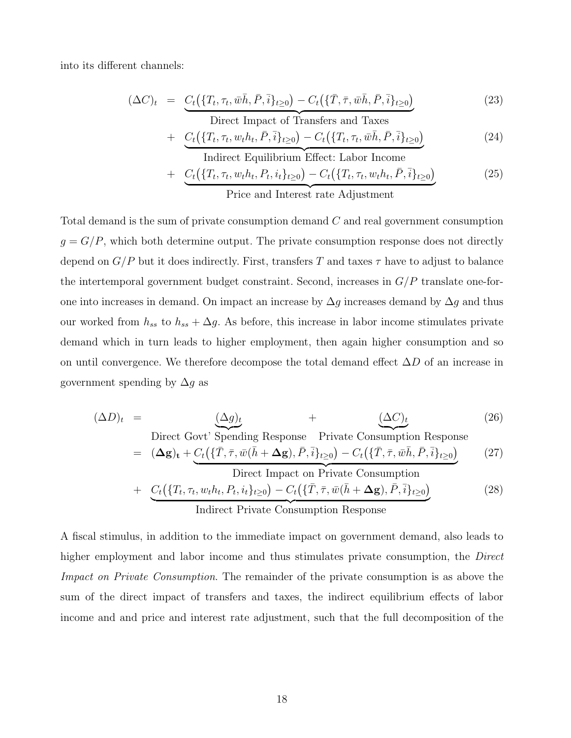into its different channels:

$$
(\Delta C)_t = \underbrace{C_t(\{T_t, \tau_t, \bar{w}\bar{h}, \bar{P}, \bar{i}\}_{t\geq 0}) - C_t(\{\bar{T}, \bar{\tau}, \bar{w}\bar{h}, \bar{P}, \bar{i}\}_{t\geq 0})}_{\text{Direct Impact of Transfers and Taxes}}
$$
(23)

+ 
$$
C_t(\{T_t, \tau_t, w_t h_t, \bar{P}, \bar{i}\}_{t\geq 0}) - C_t(\{T_t, \tau_t, \bar{w} \bar{h}, \bar{P}, \bar{i}\}_{t\geq 0})
$$
 (24)

Indirect Equilibrium Effect: Labor Income  
+ 
$$
C_t(\lbrace T_t, \tau_t, w_t h_t, P_t, i_t \rbrace_{t \geq 0}) - C_t(\lbrace T_t, \tau_t, w_t h_t, \overline{P}, \overline{i} \rbrace_{t \geq 0})
$$
 (25)  
Price and Interest rate Adjustment

Total demand is the sum of private consumption demand C and real government consumption  $g = G/P$ , which both determine output. The private consumption response does not directly depend on  $G/P$  but it does indirectly. First, transfers T and taxes  $\tau$  have to adjust to balance the intertemporal government budget constraint. Second, increases in  $G/P$  translate one-forone into increases in demand. On impact an increase by  $\Delta g$  increases demand by  $\Delta g$  and thus our worked from  $h_{ss}$  to  $h_{ss} + \Delta g$ . As before, this increase in labor income stimulates private demand which in turn leads to higher employment, then again higher consumption and so on until convergence. We therefore decompose the total demand effect  $\Delta D$  of an increase in government spending by  $\Delta g$  as

$$
(\Delta D)_t = \underbrace{(\Delta g)_t}_{\text{Direct Govt}} + \underbrace{(\Delta C)_t}_{\text{Spending Response}} \tag{26}
$$
 (26)

$$
= (\Delta \mathbf{g})_{\mathbf{t}} + \underbrace{C_{t}(\{\bar{T}, \bar{\tau}, \bar{w}(\bar{h} + \Delta \mathbf{g}), \bar{P}, \bar{i}\}_{t \geq 0}) - C_{t}(\{\bar{T}, \bar{\tau}, \bar{w}\bar{h}, \bar{P}, \bar{i}\}_{t \geq 0})}_{\text{Direct Impact on Private Consumption}}
$$
(27)

+ 
$$
\underbrace{C_t(\{T_t, \tau_t, w_t h_t, P_t, i_t\}_{t\geq 0}) - C_t(\{\bar{T}, \bar{\tau}, \bar{w}(\bar{h} + \Delta g), \bar{P}, \bar{i}\}_{t\geq 0})}_{\text{Indirect Private Consumption Response}}
$$
(28)

A fiscal stimulus, in addition to the immediate impact on government demand, also leads to higher employment and labor income and thus stimulates private consumption, the *Direct* Impact on Private Consumption. The remainder of the private consumption is as above the sum of the direct impact of transfers and taxes, the indirect equilibrium effects of labor income and and price and interest rate adjustment, such that the full decomposition of the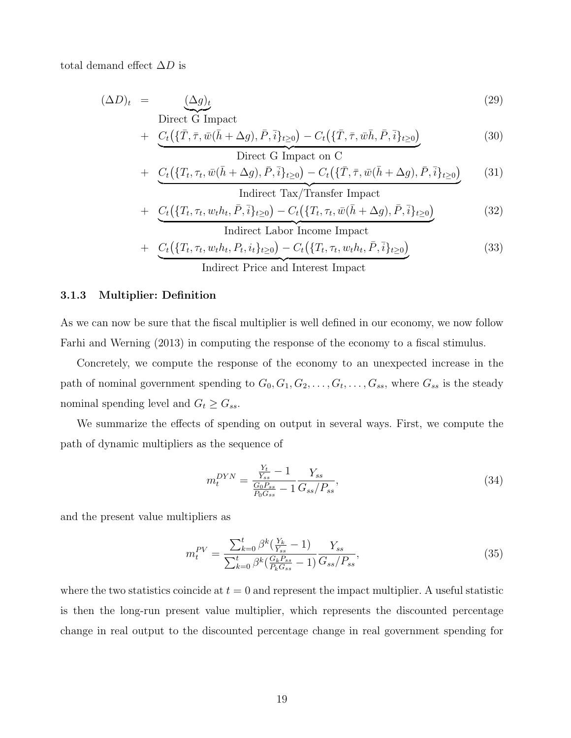total demand effect  $\Delta D$  is

$$
(\Delta D)_t = \underbrace{(\Delta g)_t}_{\text{Direct G Impact}} \tag{29}
$$

+ 
$$
\underbrace{C_t(\{\bar{T}, \bar{\tau}, \bar{w}(\bar{h} + \Delta g), \bar{P}, \bar{i}\}_{t \geq 0}) - C_t(\{\bar{T}, \bar{\tau}, \bar{w}\bar{h}, \bar{P}, \bar{i}\}_{t \geq 0})}_{\text{Direct G Impact on C}}
$$
(30)

+ 
$$
C_t(\lbrace T_t, \tau_t, \bar{w}(\bar{h} + \Delta g), \bar{P}, \bar{i} \rbrace_{t \geq 0}) - C_t(\lbrace \bar{T}, \bar{\tau}, \bar{w}(\bar{h} + \Delta g), \bar{P}, \bar{i} \rbrace_{t \geq 0})
$$
 (31)  
Indirect Tax/Transfer Impact

+ 
$$
\underbrace{C_t(\{T_t, \tau_t, w_t h_t, \bar{P}, \bar{i}\}_{t\geq 0}) - C_t(\{T_t, \tau_t, \bar{w}(\bar{h} + \Delta g), \bar{P}, \bar{i}\}_{t\geq 0})}_{\text{Indirect Labor Income Impact}}
$$
(32)

$$
+ C_t(\{T_t, \tau_t, w_t h_t, P_t, i_t\}_{t\geq 0}) - C_t(\{T_t, \tau_t, w_t h_t, \bar{P}, \bar{i}\}_{t\geq 0})
$$
\n(33)

Indirect Price and Interest Impact

#### 3.1.3 Multiplier: Definition

As we can now be sure that the fiscal multiplier is well defined in our economy, we now follow Farhi and Werning (2013) in computing the response of the economy to a fiscal stimulus.

Concretely, we compute the response of the economy to an unexpected increase in the path of nominal government spending to  $G_0, G_1, G_2, \ldots, G_t, \ldots, G_{ss}$ , where  $G_{ss}$  is the steady nominal spending level and  $G_t \geq G_{ss}$ .

We summarize the effects of spending on output in several ways. First, we compute the path of dynamic multipliers as the sequence of

$$
m_t^{DYN} = \frac{\frac{Y_t}{Y_{ss}} - 1}{\frac{G_0 P_{ss}}{P_0 G_{ss}} - 1} \frac{Y_{ss}}{G_{ss}/P_{ss}},\tag{34}
$$

and the present value multipliers as

$$
m_t^{PV} = \frac{\sum_{k=0}^t \beta^k (\frac{Y_k}{Y_{ss}} - 1)}{\sum_{k=0}^t \beta^k (\frac{G_k P_{ss}}{P_k G_{ss}} - 1)} \frac{Y_{ss}}{G_{ss}/P_{ss}},\tag{35}
$$

where the two statistics coincide at  $t = 0$  and represent the impact multiplier. A useful statistic is then the long-run present value multiplier, which represents the discounted percentage change in real output to the discounted percentage change in real government spending for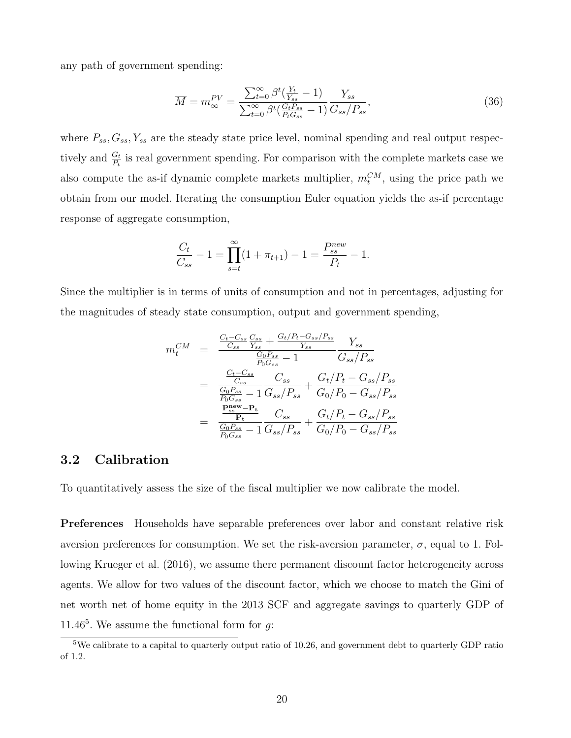any path of government spending:

$$
\overline{M} = m_{\infty}^{PV} = \frac{\sum_{t=0}^{\infty} \beta^t \left( \frac{Y_t}{Y_{ss}} - 1 \right)}{\sum_{t=0}^{\infty} \beta^t \left( \frac{G_t P_{ss}}{P_t G_{ss}} - 1 \right)} \frac{Y_{ss}}{G_{ss}/P_{ss}},\tag{36}
$$

where  $P_{ss}$ ,  $G_{ss}$ ,  $Y_{ss}$  are the steady state price level, nominal spending and real output respectively and  $\frac{G_t}{P_t}$  is real government spending. For comparison with the complete markets case we also compute the as-if dynamic complete markets multiplier,  $m_t^{CM}$ , using the price path we obtain from our model. Iterating the consumption Euler equation yields the as-if percentage response of aggregate consumption,

$$
\frac{C_t}{C_{ss}} - 1 = \prod_{s=t}^{\infty} (1 + \pi_{t+1}) - 1 = \frac{P_{ss}^{new}}{P_t} - 1.
$$

Since the multiplier is in terms of units of consumption and not in percentages, adjusting for the magnitudes of steady state consumption, output and government spending,

$$
m_t^{CM} = \frac{\frac{C_t - C_{ss}}{C_{ss}} \frac{C_{ss}}{Y_{ss}} + \frac{G_t/P_t - G_{ss}/P_{ss}}{Y_{ss}}}{\frac{G_0 P_{ss}}{P_0 G_{ss}} - 1} \frac{Y_{ss}}{G_{ss}/P_{ss}}
$$
  

$$
= \frac{\frac{C_t - C_{ss}}{C_{ss}}}{\frac{G_0 P_{ss}}{P_0 G_{ss}} - 1} \frac{C_{ss}}{G_{ss}/P_{ss}} + \frac{G_t/P_t - G_{ss}/P_{ss}}{G_0/P_0 - G_{ss}/P_{ss}}
$$
  

$$
= \frac{\frac{\mathbf{P_{ss}}}{\mathbf{P_{s}}} - \mathbf{P_{t}}}{\frac{G_0 P_{ss}}{P_0 G_{ss}} - 1} \frac{C_{ss}}{G_{ss}/P_{ss}} + \frac{G_t/P_t - G_{ss}/P_{ss}}{G_0/P_0 - G_{ss}/P_{ss}}
$$

### 3.2 Calibration

To quantitatively assess the size of the fiscal multiplier we now calibrate the model.

Preferences Households have separable preferences over labor and constant relative risk aversion preferences for consumption. We set the risk-aversion parameter,  $\sigma$ , equal to 1. Following Krueger et al. (2016), we assume there permanent discount factor heterogeneity across agents. We allow for two values of the discount factor, which we choose to match the Gini of net worth net of home equity in the 2013 SCF and aggregate savings to quarterly GDP of 11.46<sup>5</sup>. We assume the functional form for  $g$ :

<sup>&</sup>lt;sup>5</sup>We calibrate to a capital to quarterly output ratio of 10.26, and government debt to quarterly GDP ratio of 1.2.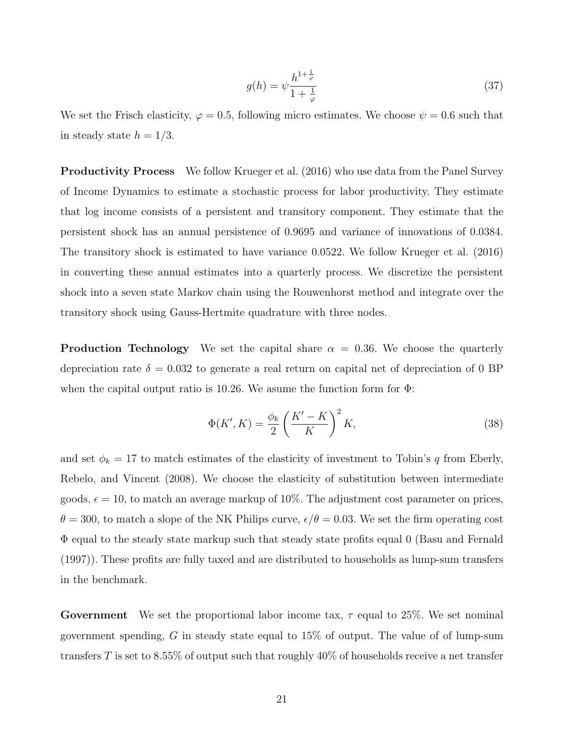$$
g(h) = \psi \frac{h^{1 + \frac{1}{\varphi}}}{1 + \frac{1}{\varphi}} \tag{37}
$$

We set the Frisch elasticity,  $\varphi = 0.5$ , following micro estimates. We choose  $\psi = 0.6$  such that in steady state  $h = 1/3$ .

Productivity Process We follow Krueger et al. (2016) who use data from the Panel Survey of Income Dynamics to estimate a stochastic process for labor productivity. They estimate that log income consists of a persistent and transitory component. They estimate that the persistent shock has an annual persistence of 0.9695 and variance of innovations of 0.0384. The transitory shock is estimated to have variance 0.0522. We follow Krueger et al. (2016) in converting these annual estimates into a quarterly process. We discretize the persistent shock into a seven state Markov chain using the Rouwenhorst method and integrate over the transitory shock using Gauss-Hertmite quadrature with three nodes.

**Production Technology** We set the capital share  $\alpha = 0.36$ . We choose the quarterly depreciation rate  $\delta = 0.032$  to generate a real return on capital net of depreciation of 0 BP when the capital output ratio is 10.26. We asume the function form for  $\Phi$ :

$$
\Phi(K', K) = \frac{\phi_k}{2} \left(\frac{K' - K}{K}\right)^2 K,\tag{38}
$$

and set  $\phi_k = 17$  to match estimates of the elasticity of investment to Tobin's q from Eberly, Rebelo, and Vincent (2008). We choose the elasticity of substitution between intermediate goods,  $\epsilon = 10$ , to match an average markup of 10%. The adjustment cost parameter on prices,  $\theta = 300$ , to match a slope of the NK Philips curve,  $\epsilon/\theta = 0.03$ . We set the firm operating cost Φ equal to the steady state markup such that steady state profits equal 0 (Basu and Fernald (1997)). These profits are fully taxed and are distributed to households as lump-sum transfers in the benchmark.

**Government** We set the proportional labor income tax,  $\tau$  equal to 25%. We set nominal government spending,  $G$  in steady state equal to  $15\%$  of output. The value of of lump-sum transfers T is set to 8.55% of output such that roughly  $40\%$  of households receive a net transfer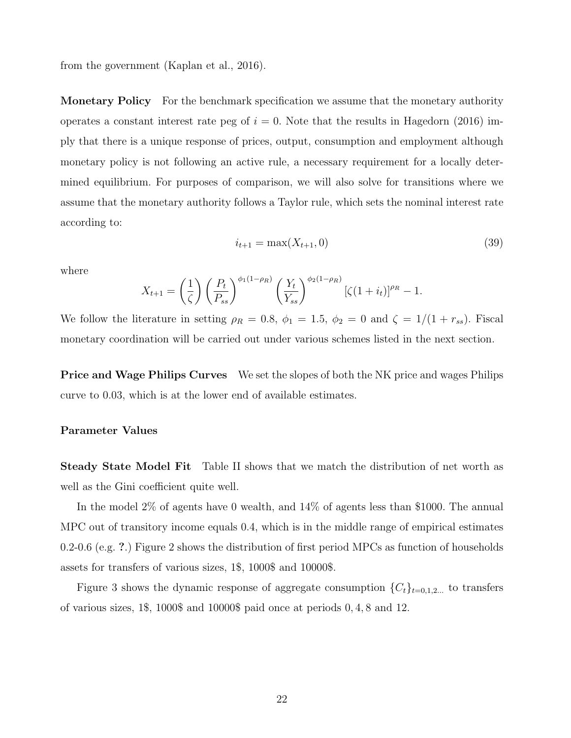from the government (Kaplan et al., 2016).

**Monetary Policy** For the benchmark specification we assume that the monetary authority operates a constant interest rate peg of  $i = 0$ . Note that the results in Hagedorn (2016) imply that there is a unique response of prices, output, consumption and employment although monetary policy is not following an active rule, a necessary requirement for a locally determined equilibrium. For purposes of comparison, we will also solve for transitions where we assume that the monetary authority follows a Taylor rule, which sets the nominal interest rate according to:

$$
i_{t+1} = \max(X_{t+1}, 0) \tag{39}
$$

where

$$
X_{t+1} = \left(\frac{1}{\zeta}\right) \left(\frac{P_t}{P_{ss}}\right)^{\phi_1(1-\rho_R)} \left(\frac{Y_t}{Y_{ss}}\right)^{\phi_2(1-\rho_R)} \left[\zeta(1+i_t)\right]^{\rho_R} - 1.
$$

We follow the literature in setting  $\rho_R = 0.8$ ,  $\phi_1 = 1.5$ ,  $\phi_2 = 0$  and  $\zeta = 1/(1 + r_{ss})$ . Fiscal monetary coordination will be carried out under various schemes listed in the next section.

**Price and Wage Philips Curves** We set the slopes of both the NK price and wages Philips curve to 0.03, which is at the lower end of available estimates.

#### Parameter Values

Steady State Model Fit Table II shows that we match the distribution of net worth as well as the Gini coefficient quite well.

In the model 2% of agents have 0 wealth, and 14% of agents less than \$1000. The annual MPC out of transitory income equals 0.4, which is in the middle range of empirical estimates 0.2-0.6 (e.g. ?.) Figure 2 shows the distribution of first period MPCs as function of households assets for transfers of various sizes, 1\$, 1000\$ and 10000\$.

Figure 3 shows the dynamic response of aggregate consumption  $\{C_t\}_{t=0,1,2,...}$  to transfers of various sizes, 1\$, 1000\$ and 10000\$ paid once at periods 0, 4, 8 and 12.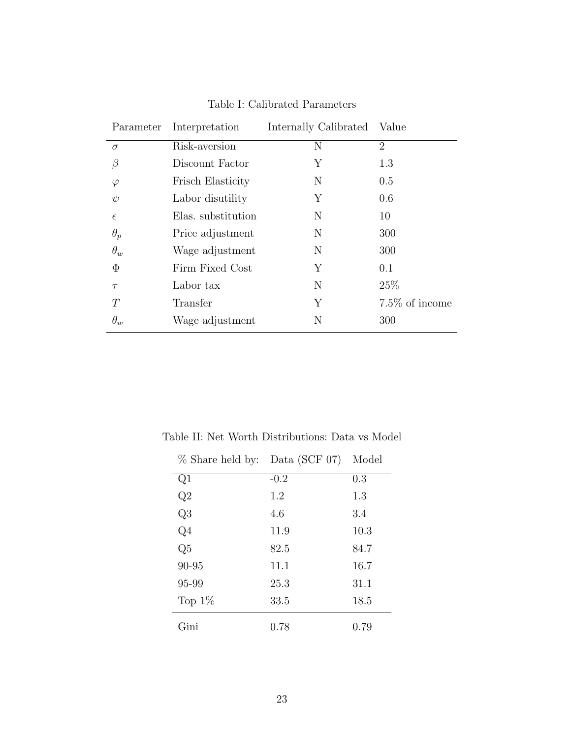| Parameter  | Interpretation     | Internally Calibrated Value |                |  |
|------------|--------------------|-----------------------------|----------------|--|
| $\sigma$   | Risk-aversion      | N                           | $\overline{2}$ |  |
|            | Discount Factor    | Υ                           | 1.3            |  |
| $\varphi$  | Frisch Elasticity  | N                           | 0.5            |  |
| $\psi$     | Labor disutility   | Υ                           | 0.6            |  |
| $\epsilon$ | Elas. substitution | N                           | 10             |  |
| $\theta_p$ | Price adjustment   | N                           | 300            |  |
| $\theta_w$ | Wage adjustment    | N                           | 300            |  |
| $\Phi$     | Firm Fixed Cost    | Y                           | 0.1            |  |
| $\tau$     | Labor tax          | N                           | 25\%           |  |
| T          | Transfer           | Y                           | 7.5% of income |  |
| $\theta_w$ | Wage adjustment    | N                           | 300            |  |

Table I: Calibrated Parameters

| % Share held by: Data (SCF 07) |        | Model |
|--------------------------------|--------|-------|
| Q1                             | $-0.2$ | 0.3   |
| Q2                             | 1.2    | 1.3   |
| Q <sub>3</sub>                 | 4.6    | 3.4   |
| $Q_4$                          | 11.9   | 10.3  |
| Q <sub>5</sub>                 | 82.5   | 84.7  |
| 90-95                          | 11.1   | 16.7  |
| 95-99                          | 25.3   | 31.1  |
| Top $1\%$                      | 33.5   | 18.5  |
| Gini                           | 0.78   | 0.79  |

Table II: Net Worth Distributions: Data vs Model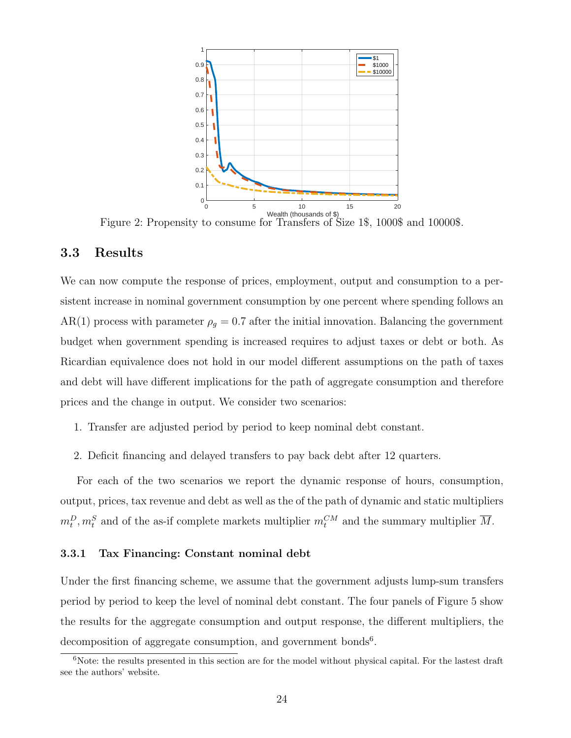

Wealth (thousands of \$) Figure 2: Propensity to consume for Transfers of Size 1\$, 1000\$ and 10000\$.

### 3.3 Results

We can now compute the response of prices, employment, output and consumption to a persistent increase in nominal government consumption by one percent where spending follows an AR(1) process with parameter  $\rho_g = 0.7$  after the initial innovation. Balancing the government budget when government spending is increased requires to adjust taxes or debt or both. As Ricardian equivalence does not hold in our model different assumptions on the path of taxes and debt will have different implications for the path of aggregate consumption and therefore prices and the change in output. We consider two scenarios:

- 1. Transfer are adjusted period by period to keep nominal debt constant.
- 2. Deficit financing and delayed transfers to pay back debt after 12 quarters.

For each of the two scenarios we report the dynamic response of hours, consumption, output, prices, tax revenue and debt as well as the of the path of dynamic and static multipliers  $m_t^D, m_t^S$  and of the as-if complete markets multiplier  $m_t^{CM}$  and the summary multiplier  $\overline{M}$ .

#### 3.3.1 Tax Financing: Constant nominal debt

Under the first financing scheme, we assume that the government adjusts lump-sum transfers period by period to keep the level of nominal debt constant. The four panels of Figure 5 show the results for the aggregate consumption and output response, the different multipliers, the decomposition of aggregate consumption, and government bonds<sup>6</sup>.

<sup>&</sup>lt;sup>6</sup>Note: the results presented in this section are for the model without physical capital. For the lastest draft see the authors' website.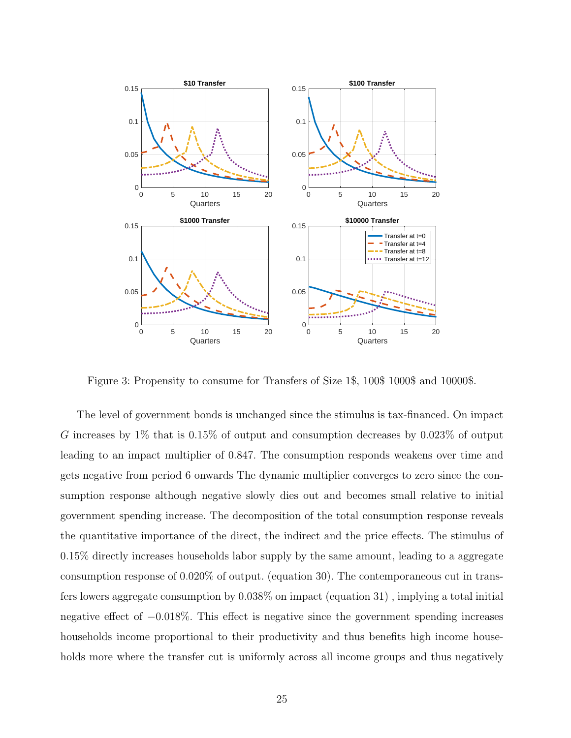

Figure 3: Propensity to consume for Transfers of Size 1\$, 100\$ 1000\$ and 10000\$.

The level of government bonds is unchanged since the stimulus is tax-financed. On impact G increases by 1% that is 0.15% of output and consumption decreases by 0.023% of output leading to an impact multiplier of 0.847. The consumption responds weakens over time and gets negative from period 6 onwards The dynamic multiplier converges to zero since the consumption response although negative slowly dies out and becomes small relative to initial government spending increase. The decomposition of the total consumption response reveals the quantitative importance of the direct, the indirect and the price effects. The stimulus of 0.15% directly increases households labor supply by the same amount, leading to a aggregate consumption response of 0.020% of output. (equation 30). The contemporaneous cut in transfers lowers aggregate consumption by 0.038% on impact (equation 31) , implying a total initial negative effect of −0.018%. This effect is negative since the government spending increases households income proportional to their productivity and thus benefits high income households more where the transfer cut is uniformly across all income groups and thus negatively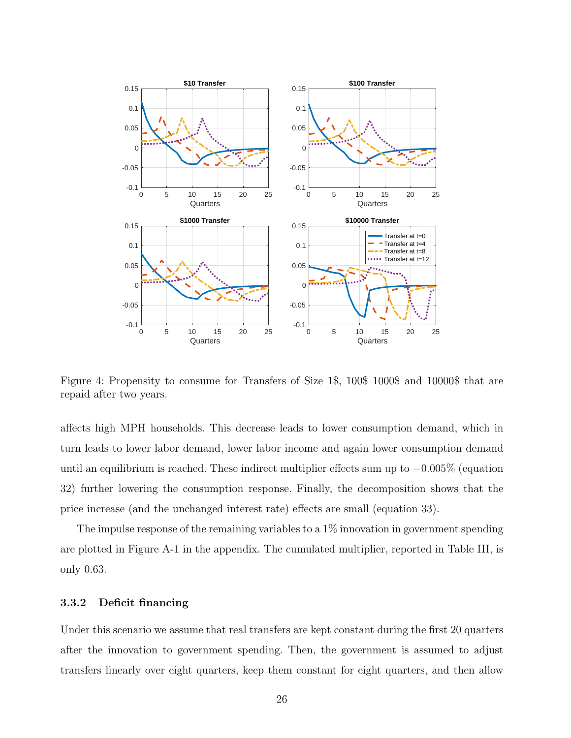

Figure 4: Propensity to consume for Transfers of Size 1\$, 100\$ 1000\$ and 10000\$ that are repaid after two years.

affects high MPH households. This decrease leads to lower consumption demand, which in turn leads to lower labor demand, lower labor income and again lower consumption demand until an equilibrium is reached. These indirect multiplier effects sum up to −0.005% (equation 32) further lowering the consumption response. Finally, the decomposition shows that the price increase (and the unchanged interest rate) effects are small (equation 33).

The impulse response of the remaining variables to a  $1\%$  innovation in government spending are plotted in Figure A-1 in the appendix. The cumulated multiplier, reported in Table III, is only 0.63.

#### 3.3.2 Deficit financing

Under this scenario we assume that real transfers are kept constant during the first 20 quarters after the innovation to government spending. Then, the government is assumed to adjust transfers linearly over eight quarters, keep them constant for eight quarters, and then allow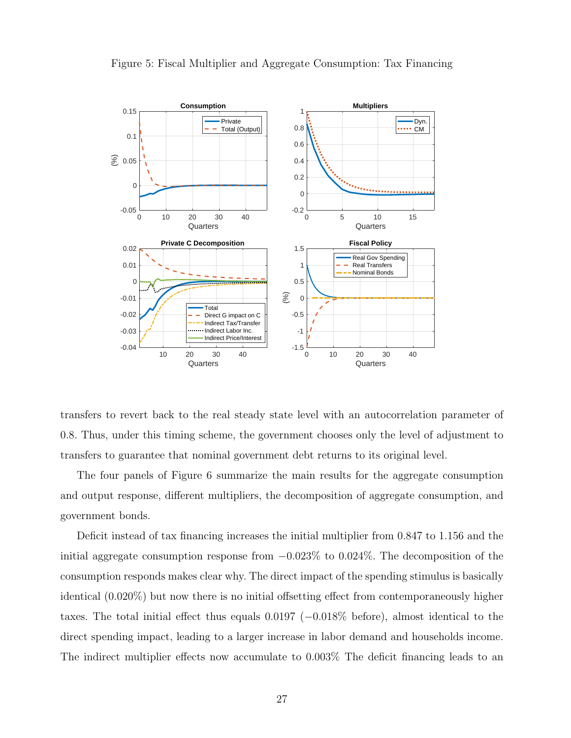

Figure 5: Fiscal Multiplier and Aggregate Consumption: Tax Financing

transfers to revert back to the real steady state level with an autocorrelation parameter of 0.8. Thus, under this timing scheme, the government chooses only the level of adjustment to transfers to guarantee that nominal government debt returns to its original level.

The four panels of Figure 6 summarize the main results for the aggregate consumption and output response, different multipliers, the decomposition of aggregate consumption, and government bonds.

Deficit instead of tax financing increases the initial multiplier from 0.847 to 1.156 and the initial aggregate consumption response from  $-0.023\%$  to 0.024%. The decomposition of the consumption responds makes clear why. The direct impact of the spending stimulus is basically identical (0.020%) but now there is no initial offsetting effect from contemporaneously higher taxes. The total initial effect thus equals 0.0197 (−0.018% before), almost identical to the direct spending impact, leading to a larger increase in labor demand and households income. The indirect multiplier effects now accumulate to 0.003% The deficit financing leads to an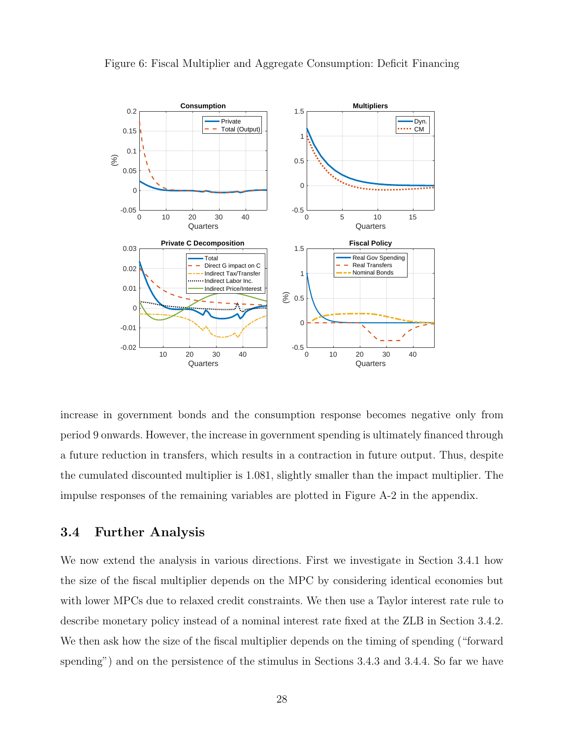

Figure 6: Fiscal Multiplier and Aggregate Consumption: Deficit Financing

increase in government bonds and the consumption response becomes negative only from period 9 onwards. However, the increase in government spending is ultimately financed through a future reduction in transfers, which results in a contraction in future output. Thus, despite the cumulated discounted multiplier is 1.081, slightly smaller than the impact multiplier. The impulse responses of the remaining variables are plotted in Figure A-2 in the appendix.

### 3.4 Further Analysis

We now extend the analysis in various directions. First we investigate in Section 3.4.1 how the size of the fiscal multiplier depends on the MPC by considering identical economies but with lower MPCs due to relaxed credit constraints. We then use a Taylor interest rate rule to describe monetary policy instead of a nominal interest rate fixed at the ZLB in Section 3.4.2. We then ask how the size of the fiscal multiplier depends on the timing of spending ("forward spending") and on the persistence of the stimulus in Sections 3.4.3 and 3.4.4. So far we have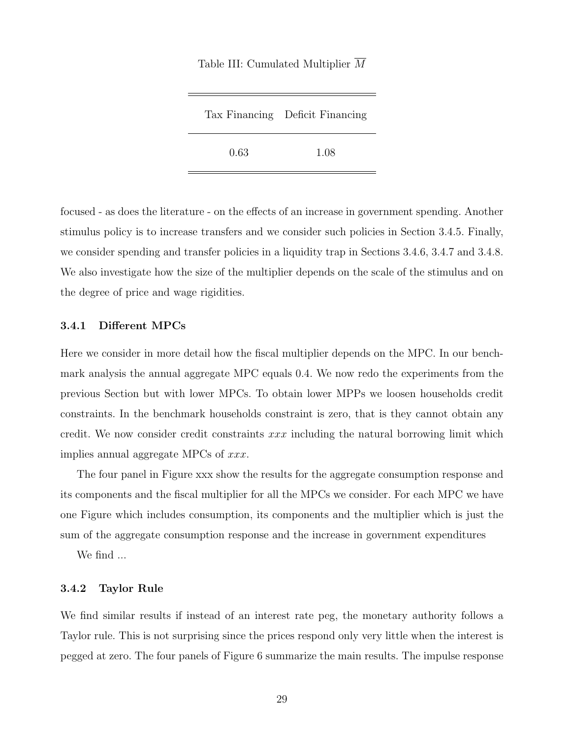|      | Tax Financing Deficit Financing |
|------|---------------------------------|
| 0.63 | 1.08                            |

Table III: Cumulated Multiplier  $\overline{M}$ 

focused - as does the literature - on the effects of an increase in government spending. Another stimulus policy is to increase transfers and we consider such policies in Section 3.4.5. Finally, we consider spending and transfer policies in a liquidity trap in Sections 3.4.6, 3.4.7 and 3.4.8. We also investigate how the size of the multiplier depends on the scale of the stimulus and on the degree of price and wage rigidities.

#### 3.4.1 Different MPCs

Here we consider in more detail how the fiscal multiplier depends on the MPC. In our benchmark analysis the annual aggregate MPC equals 0.4. We now redo the experiments from the previous Section but with lower MPCs. To obtain lower MPPs we loosen households credit constraints. In the benchmark households constraint is zero, that is they cannot obtain any credit. We now consider credit constraints  $xxx$  including the natural borrowing limit which implies annual aggregate MPCs of xxx.

The four panel in Figure xxx show the results for the aggregate consumption response and its components and the fiscal multiplier for all the MPCs we consider. For each MPC we have one Figure which includes consumption, its components and the multiplier which is just the sum of the aggregate consumption response and the increase in government expenditures

We find ...

#### 3.4.2 Taylor Rule

We find similar results if instead of an interest rate peg, the monetary authority follows a Taylor rule. This is not surprising since the prices respond only very little when the interest is pegged at zero. The four panels of Figure 6 summarize the main results. The impulse response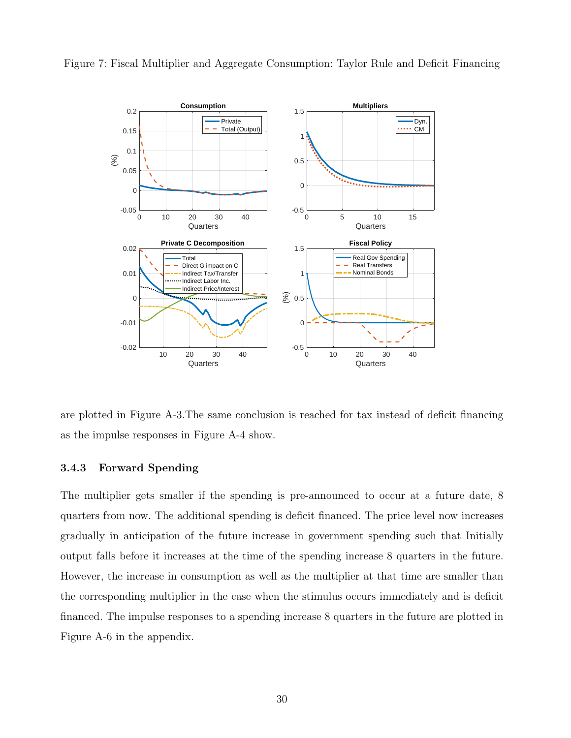

Figure 7: Fiscal Multiplier and Aggregate Consumption: Taylor Rule and Deficit Financing

are plotted in Figure A-3.The same conclusion is reached for tax instead of deficit financing as the impulse responses in Figure A-4 show.

### 3.4.3 Forward Spending

The multiplier gets smaller if the spending is pre-announced to occur at a future date, 8 quarters from now. The additional spending is deficit financed. The price level now increases gradually in anticipation of the future increase in government spending such that Initially output falls before it increases at the time of the spending increase 8 quarters in the future. However, the increase in consumption as well as the multiplier at that time are smaller than the corresponding multiplier in the case when the stimulus occurs immediately and is deficit financed. The impulse responses to a spending increase 8 quarters in the future are plotted in Figure A-6 in the appendix.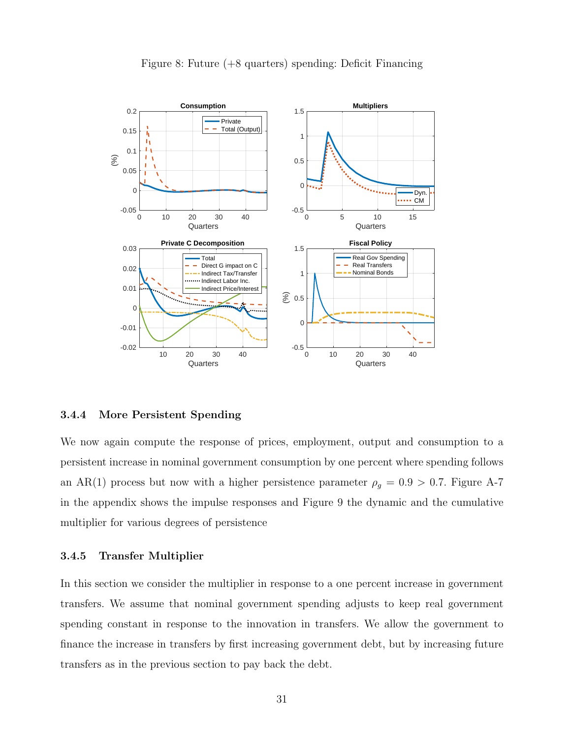

### Figure 8: Future (+8 quarters) spending: Deficit Financing

#### 3.4.4 More Persistent Spending

We now again compute the response of prices, employment, output and consumption to a persistent increase in nominal government consumption by one percent where spending follows an AR(1) process but now with a higher persistence parameter  $\rho_g = 0.9 > 0.7$ . Figure A-7 in the appendix shows the impulse responses and Figure 9 the dynamic and the cumulative multiplier for various degrees of persistence

#### 3.4.5 Transfer Multiplier

In this section we consider the multiplier in response to a one percent increase in government transfers. We assume that nominal government spending adjusts to keep real government spending constant in response to the innovation in transfers. We allow the government to finance the increase in transfers by first increasing government debt, but by increasing future transfers as in the previous section to pay back the debt.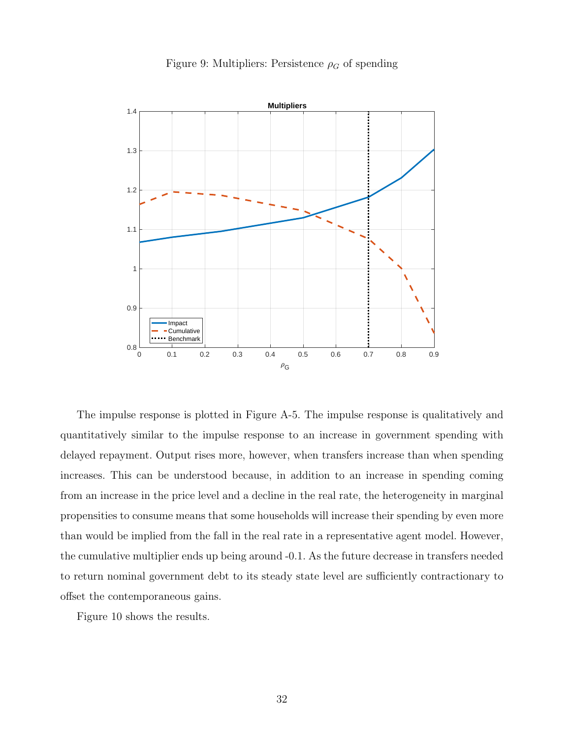

Figure 9: Multipliers: Persistence  $\rho_G$  of spending

The impulse response is plotted in Figure A-5. The impulse response is qualitatively and quantitatively similar to the impulse response to an increase in government spending with delayed repayment. Output rises more, however, when transfers increase than when spending increases. This can be understood because, in addition to an increase in spending coming from an increase in the price level and a decline in the real rate, the heterogeneity in marginal propensities to consume means that some households will increase their spending by even more than would be implied from the fall in the real rate in a representative agent model. However, the cumulative multiplier ends up being around -0.1. As the future decrease in transfers needed to return nominal government debt to its steady state level are sufficiently contractionary to offset the contemporaneous gains.

Figure 10 shows the results.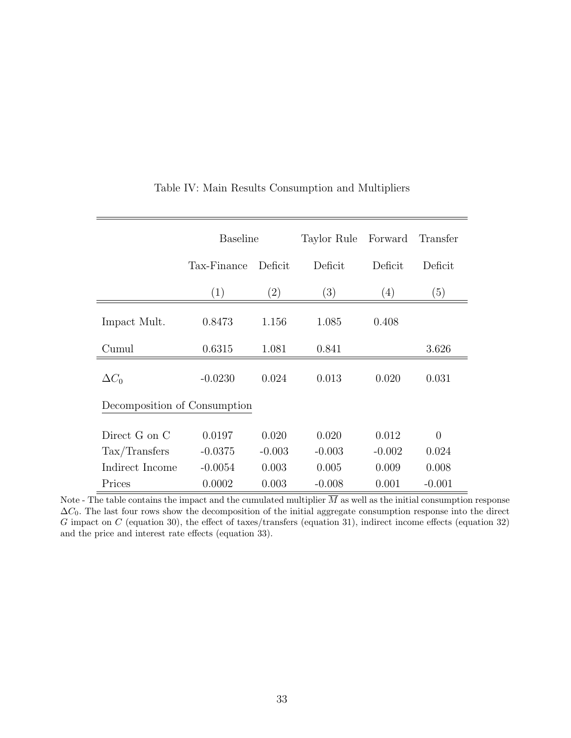|                               | <b>Baseline</b> |                   | Taylor Rule      | Forward  | Transfer |  |  |  |
|-------------------------------|-----------------|-------------------|------------------|----------|----------|--|--|--|
|                               | Tax-Finance     | Deficit           | Deficit          | Deficit  | Deficit  |  |  |  |
|                               | (1)             | $\left( 2\right)$ | $\left(3\right)$ | (4)      | (5)      |  |  |  |
| Impact Mult.                  | 0.8473          | 1.156             | 1.085            | 0.408    |          |  |  |  |
| Cumul                         | 0.6315          | 1.081             | 0.841            |          | 3.626    |  |  |  |
| $\Delta C_0$                  | $-0.0230$       | 0.024             | 0.013            | 0.020    | 0.031    |  |  |  |
| Decomposition of Consumption  |                 |                   |                  |          |          |  |  |  |
| Direct G on C                 | 0.0197          | 0.020             | 0.020            | 0.012    | $\theta$ |  |  |  |
| $\text{Tax}/\text{Transfers}$ | $-0.0375$       | $-0.003$          | $-0.003$         | $-0.002$ | 0.024    |  |  |  |
| Indirect Income               | $-0.0054$       | 0.003             | 0.005            | 0.009    | 0.008    |  |  |  |
| Prices                        | 0.0002          | 0.003             | $-0.008$         | 0.001    | $-0.001$ |  |  |  |

### Table IV: Main Results Consumption and Multipliers

Note - The table contains the impact and the cumulated multiplier  $\overline{M}$  as well as the initial consumption response  $\Delta C_0$ . The last four rows show the decomposition of the initial aggregate consumption response into the direct G impact on C (equation 30), the effect of taxes/transfers (equation 31), indirect income effects (equation 32) and the price and interest rate effects (equation 33).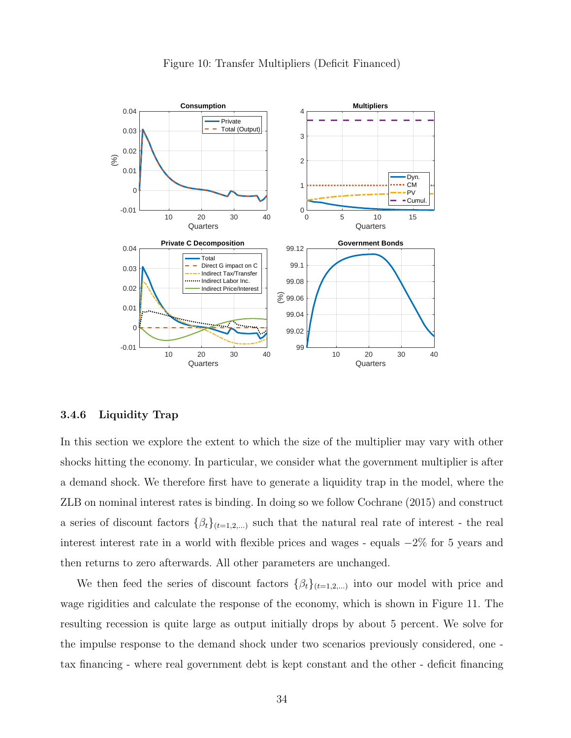

Figure 10: Transfer Multipliers (Deficit Financed)

#### 3.4.6 Liquidity Trap

In this section we explore the extent to which the size of the multiplier may vary with other shocks hitting the economy. In particular, we consider what the government multiplier is after a demand shock. We therefore first have to generate a liquidity trap in the model, where the ZLB on nominal interest rates is binding. In doing so we follow Cochrane (2015) and construct a series of discount factors  $\{\beta_t\}_{t=1,2,...}$  such that the natural real rate of interest - the real interest interest rate in a world with flexible prices and wages - equals −2% for 5 years and then returns to zero afterwards. All other parameters are unchanged.

We then feed the series of discount factors  $\{\beta_t\}_{t=1,2,...}$  into our model with price and wage rigidities and calculate the response of the economy, which is shown in Figure 11. The resulting recession is quite large as output initially drops by about 5 percent. We solve for the impulse response to the demand shock under two scenarios previously considered, one tax financing - where real government debt is kept constant and the other - deficit financing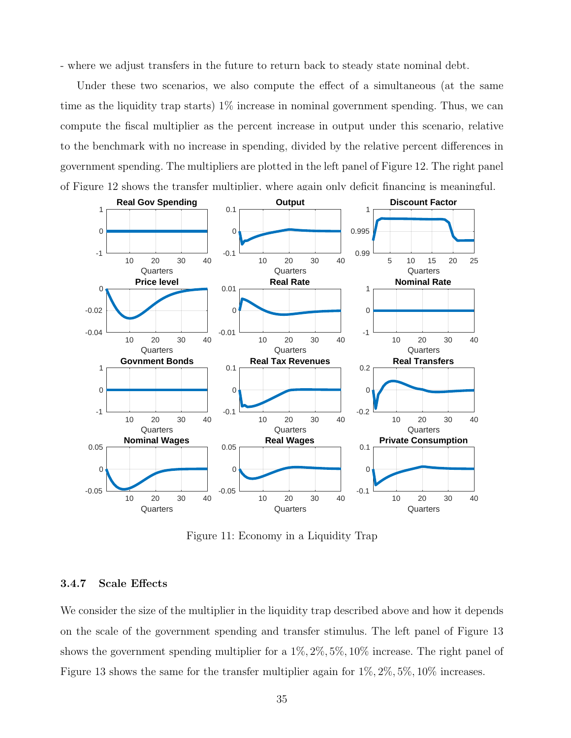- where we adjust transfers in the future to return back to steady state nominal debt.

Under these two scenarios, we also compute the effect of a simultaneous (at the same time as the liquidity trap starts) 1% increase in nominal government spending. Thus, we can compute the fiscal multiplier as the percent increase in output under this scenario, relative to the benchmark with no increase in spending, divided by the relative percent differences in government spending. The multipliers are plotted in the left panel of Figure 12. The right panel of Figure 12 shows the transfer multiplier, where again only deficit financing is meaningful.



Figure 11: Economy in a Liquidity Trap

#### 3.4.7 Scale Effects

We consider the size of the multiplier in the liquidity trap described above and how it depends on the scale of the government spending and transfer stimulus. The left panel of Figure 13 shows the government spending multiplier for a 1%, 2%, 5%, 10% increase. The right panel of Figure 13 shows the same for the transfer multiplier again for  $1\%, 2\%, 5\%, 10\%$  increases.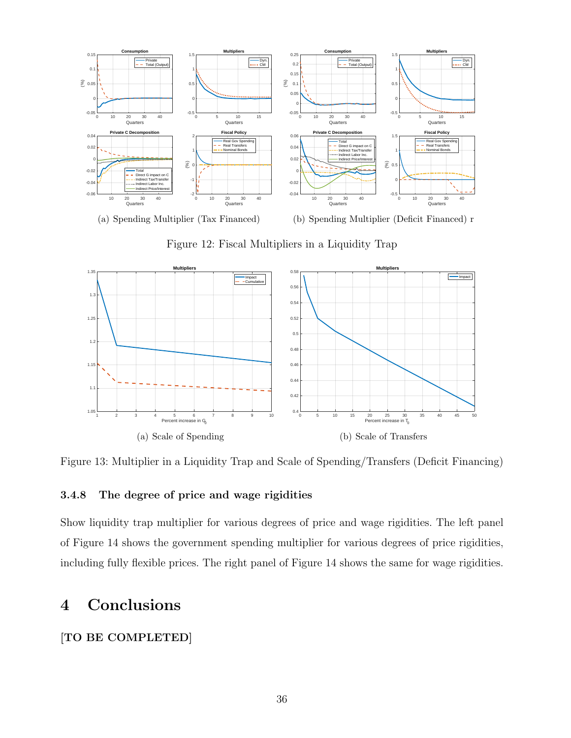

1 2 3 4 5 6 7 8 9 10<br>Percent increase in G<sub>0</sub> 1.05 1.1 1.15 1.2 1.25 1.3 1.35 **Multipliers** Impact Cumulative (a) Scale of Spending 0 5 10 15 20 25 30 35 40 45 50<br>Percent increase in T<sub>0</sub>  $0.4\frac{L}{0}$ 0.42  $0.44$ 0.46  $0.48$  $0.5$ 0.52 0.54 0.56 0.58 **Multipliers** Impact (b) Scale of Transfers

Figure 12: Fiscal Multipliers in a Liquidity Trap

Figure 13: Multiplier in a Liquidity Trap and Scale of Spending/Transfers (Deficit Financing)

### 3.4.8 The degree of price and wage rigidities

Show liquidity trap multiplier for various degrees of price and wage rigidities. The left panel of Figure 14 shows the government spending multiplier for various degrees of price rigidities, including fully flexible prices. The right panel of Figure 14 shows the same for wage rigidities.

## 4 Conclusions

### [TO BE COMPLETED]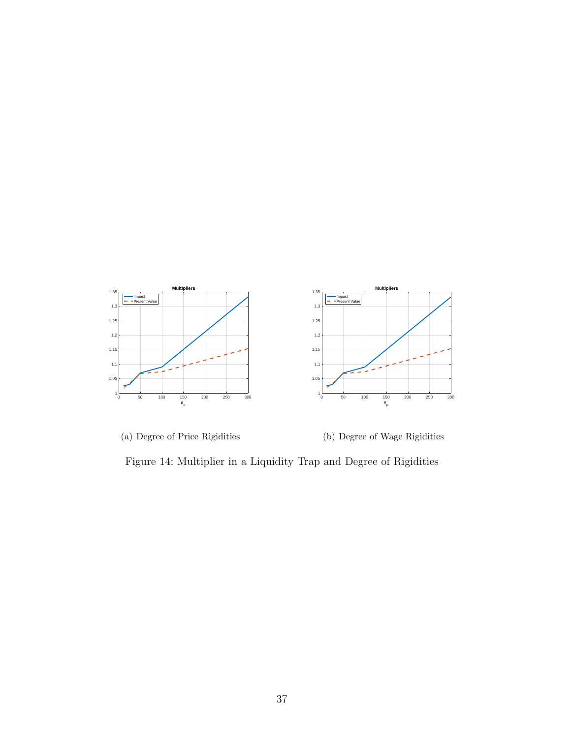



(b) Degree of Wage Rigidities

Figure 14: Multiplier in a Liquidity Trap and Degree of Rigidities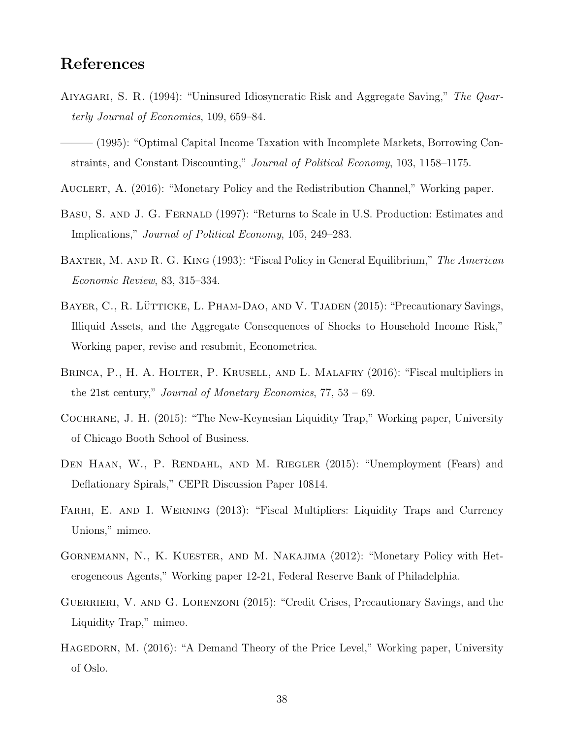## References

- AIYAGARI, S. R. (1994): "Uninsured Idiosyncratic Risk and Aggregate Saving," The Quarterly Journal of Economics, 109, 659–84.
- ——— (1995): "Optimal Capital Income Taxation with Incomplete Markets, Borrowing Constraints, and Constant Discounting," Journal of Political Economy, 103, 1158–1175.
- Auclert, A. (2016): "Monetary Policy and the Redistribution Channel," Working paper.
- BASU, S. AND J. G. FERNALD (1997): "Returns to Scale in U.S. Production: Estimates and Implications," Journal of Political Economy, 105, 249–283.
- BAXTER, M. AND R. G. KING (1993): "Fiscal Policy in General Equilibrium," The American Economic Review, 83, 315–334.
- BAYER, C., R. LÜTTICKE, L. PHAM-DAO, AND V. TJADEN (2015): "Precautionary Savings, Illiquid Assets, and the Aggregate Consequences of Shocks to Household Income Risk," Working paper, revise and resubmit, Econometrica.
- Brinca, P., H. A. Holter, P. Krusell, and L. Malafry (2016): "Fiscal multipliers in the 21st century," Journal of Monetary Economics,  $77, 53 - 69$ .
- Cochrane, J. H. (2015): "The New-Keynesian Liquidity Trap," Working paper, University of Chicago Booth School of Business.
- DEN HAAN, W., P. RENDAHL, AND M. RIEGLER (2015): "Unemployment (Fears) and Deflationary Spirals," CEPR Discussion Paper 10814.
- FARHI, E. AND I. WERNING (2013): "Fiscal Multipliers: Liquidity Traps and Currency Unions," mimeo.
- Gornemann, N., K. Kuester, and M. Nakajima (2012): "Monetary Policy with Heterogeneous Agents," Working paper 12-21, Federal Reserve Bank of Philadelphia.
- GUERRIERI, V. AND G. LORENZONI (2015): "Credit Crises, Precautionary Savings, and the Liquidity Trap," mimeo.
- HAGEDORN, M. (2016): "A Demand Theory of the Price Level," Working paper, University of Oslo.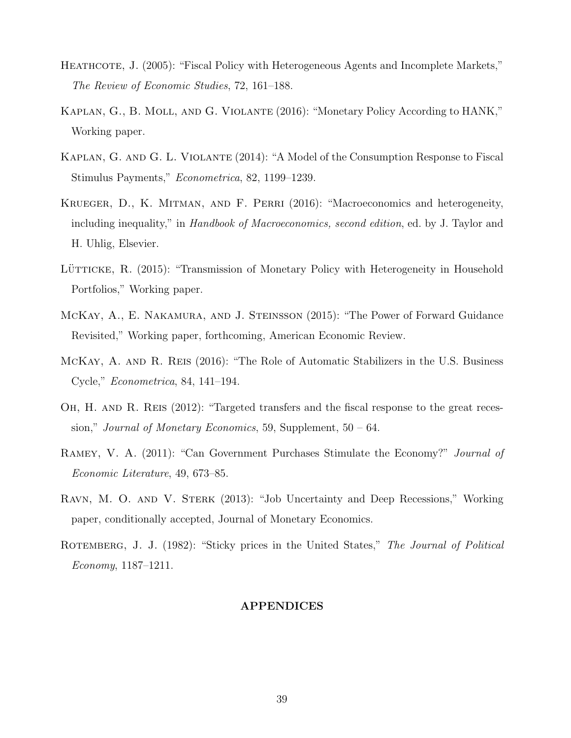- HEATHCOTE, J. (2005): "Fiscal Policy with Heterogeneous Agents and Incomplete Markets," The Review of Economic Studies, 72, 161–188.
- Kaplan, G., B. Moll, and G. Violante (2016): "Monetary Policy According to HANK," Working paper.
- Kaplan, G. and G. L. Violante (2014): "A Model of the Consumption Response to Fiscal Stimulus Payments," Econometrica, 82, 1199–1239.
- Krueger, D., K. Mitman, and F. Perri (2016): "Macroeconomics and heterogeneity, including inequality," in *Handbook of Macroeconomics, second edition*, ed. by J. Taylor and H. Uhlig, Elsevier.
- LÜTTICKE, R. (2015): "Transmission of Monetary Policy with Heterogeneity in Household Portfolios," Working paper.
- McKay, A., E. Nakamura, and J. Steinsson (2015): "The Power of Forward Guidance Revisited," Working paper, forthcoming, American Economic Review.
- McKay, A. and R. Reis (2016): "The Role of Automatic Stabilizers in the U.S. Business Cycle," Econometrica, 84, 141–194.
- OH, H. AND R. REIS  $(2012)$ : "Targeted transfers and the fiscal response to the great recession," Journal of Monetary Economics, 59, Supplement,  $50 - 64$ .
- RAMEY, V. A. (2011): "Can Government Purchases Stimulate the Economy?" *Journal of* Economic Literature, 49, 673–85.
- Ravn, M. O. and V. Sterk (2013): "Job Uncertainty and Deep Recessions," Working paper, conditionally accepted, Journal of Monetary Economics.
- ROTEMBERG, J. J. (1982): "Sticky prices in the United States," The Journal of Political Economy, 1187–1211.

#### APPENDICES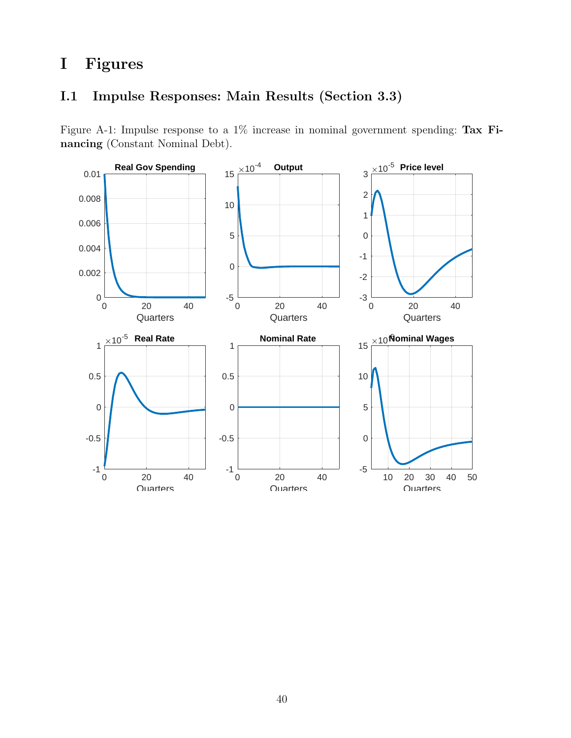# I Figures

## I.1 Impulse Responses: Main Results (Section 3.3)

Figure A-1: Impulse response to a 1% increase in nominal government spending: Tax Financing (Constant Nominal Debt).

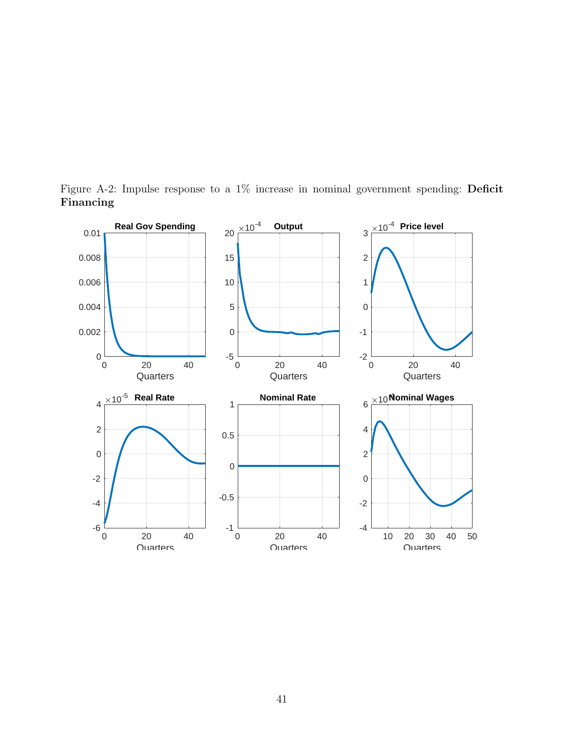

Figure A-2: Impulse response to a 1% increase in nominal government spending: Deficit Financing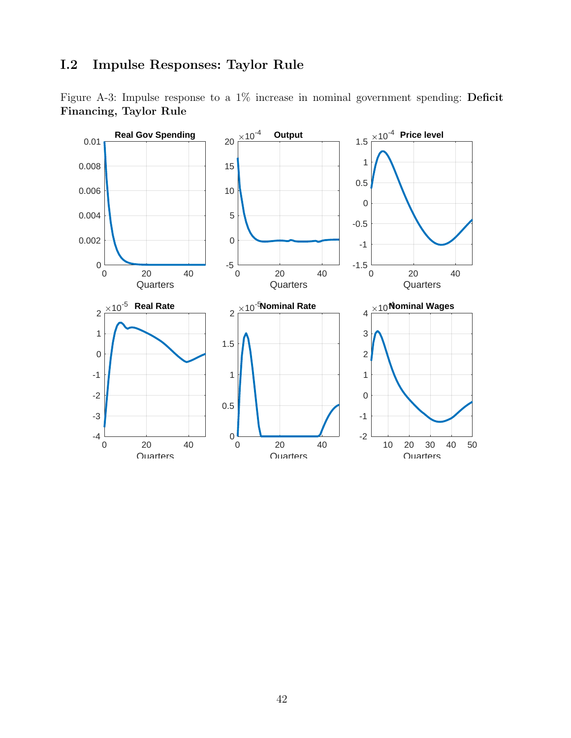## I.2 Impulse Responses: Taylor Rule

Figure A-3: Impulse response to a 1% increase in nominal government spending: Deficit Financing, Taylor Rule

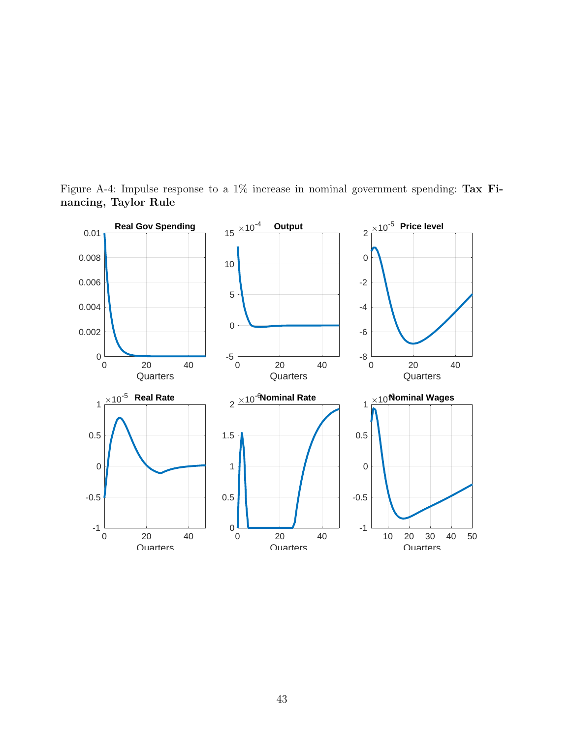

Figure A-4: Impulse response to a 1% increase in nominal government spending: Tax Financing, Taylor Rule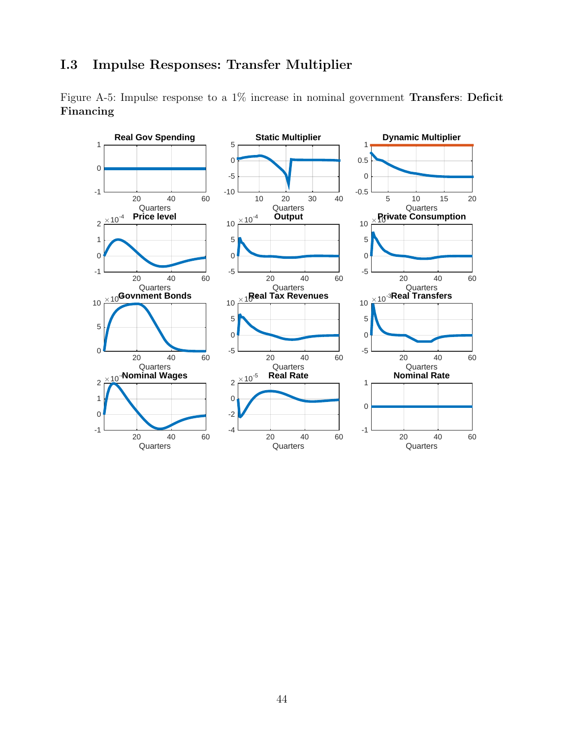## I.3 Impulse Responses: Transfer Multiplier

Figure A-5: Impulse response to a 1% increase in nominal government Transfers: Deficit Financing

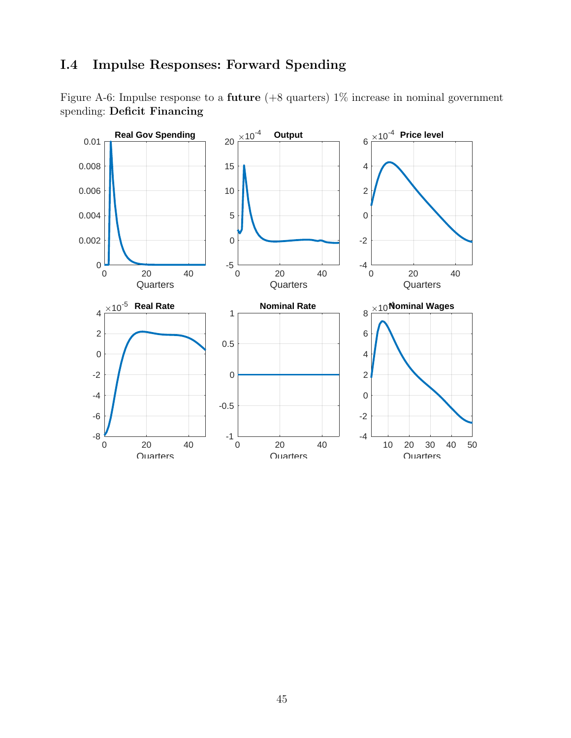## I.4 Impulse Responses: Forward Spending

Figure A-6: Impulse response to a future (+8 quarters) 1% increase in nominal government spending: Deficit Financing

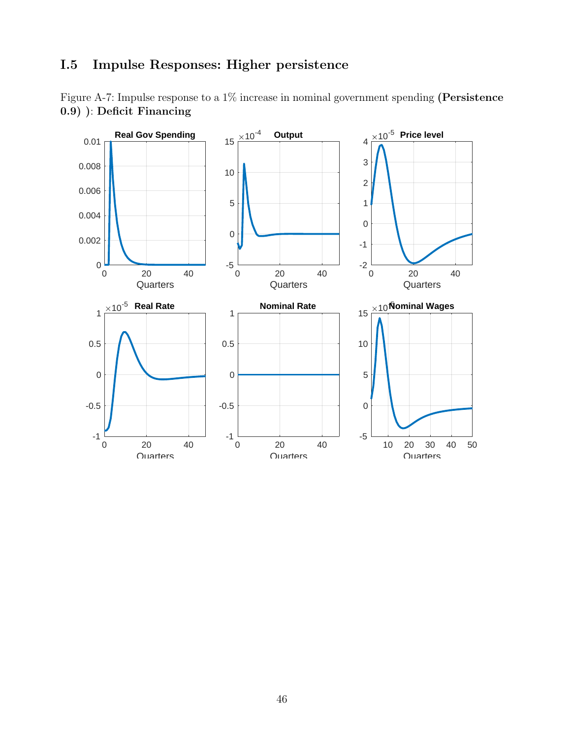## I.5 Impulse Responses: Higher persistence

Figure A-7: Impulse response to a 1% increase in nominal government spending (Persistence 0.9) ): Deficit Financing

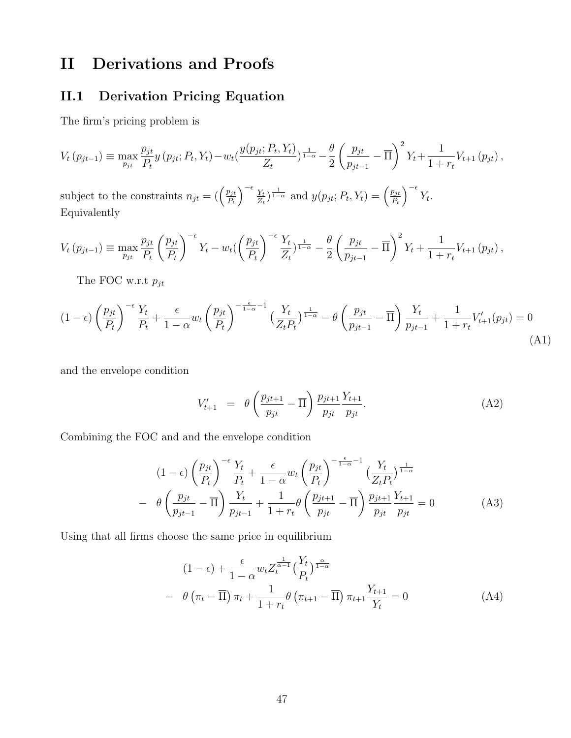# II Derivations and Proofs

## II.1 Derivation Pricing Equation

The firm's pricing problem is

$$
V_t(p_{jt-1}) \equiv \max_{p_{jt}} \frac{p_{jt}}{P_t} y(p_{jt}; P_t, Y_t) - w_t \left(\frac{y(p_{jt}; P_t, Y_t)}{Z_t}\right)^{\frac{1}{1-\alpha}} - \frac{\theta}{2} \left(\frac{p_{jt}}{p_{jt-1}} - \overline{\Pi}\right)^2 Y_t + \frac{1}{1+r_t} V_{t+1}(p_{jt}),
$$
  
subject to the constraints  $n_{jt} = \left(\left(\frac{p_{jt}}{P_t}\right)^{-\epsilon} \frac{Y_t}{Z_t}\right)^{\frac{1}{1-\alpha}}$  and  $y(p_{jt}; P_t, Y_t) = \left(\frac{p_{jt}}{P_t}\right)^{-\epsilon} Y_t.$ 

Equivalently

$$
V_t(p_{jt-1}) \equiv \max_{p_{jt}} \frac{p_{jt}}{P_t} \left(\frac{p_{jt}}{P_t}\right)^{-\epsilon} Y_t - w_t \left(\left(\frac{p_{jt}}{P_t}\right)^{-\epsilon} \frac{Y_t}{Z_t}\right)^{\frac{1}{1-\alpha}} - \frac{\theta}{2} \left(\frac{p_{jt}}{p_{jt-1}} - \overline{\Pi}\right)^2 Y_t + \frac{1}{1+r_t} V_{t+1}(p_{jt}),
$$

The FOC w.r.t  $p_{jt}$ 

$$
(1-\epsilon)\left(\frac{p_{jt}}{P_t}\right)^{-\epsilon}\frac{Y_t}{P_t} + \frac{\epsilon}{1-\alpha}w_t\left(\frac{p_{jt}}{P_t}\right)^{-\frac{\epsilon}{1-\alpha}-1}\left(\frac{Y_t}{Z_tP_t}\right)^{\frac{1}{1-\alpha}} - \theta\left(\frac{p_{jt}}{p_{jt-1}} - \overline{\Pi}\right)\frac{Y_t}{p_{jt-1}} + \frac{1}{1+r_t}V'_{t+1}(p_{jt}) = 0
$$
\n(A1)

and the envelope condition

$$
V'_{t+1} = \theta \left( \frac{p_{jt+1}}{p_{jt}} - \overline{\Pi} \right) \frac{p_{jt+1}}{p_{jt}} \frac{Y_{t+1}}{p_{jt}}.
$$
 (A2)

Combining the FOC and and the envelope condition

$$
(1 - \epsilon) \left(\frac{p_{jt}}{P_t}\right)^{-\epsilon} \frac{Y_t}{P_t} + \frac{\epsilon}{1 - \alpha} w_t \left(\frac{p_{jt}}{P_t}\right)^{-\frac{\epsilon}{1 - \alpha} - 1} \left(\frac{Y_t}{Z_t P_t}\right)^{\frac{1}{1 - \alpha}}
$$

$$
- \theta \left(\frac{p_{jt}}{p_{jt-1}} - \overline{\Pi}\right) \frac{Y_t}{p_{jt-1}} + \frac{1}{1 + r_t} \theta \left(\frac{p_{jt+1}}{p_{jt}} - \overline{\Pi}\right) \frac{p_{jt+1}}{p_{jt}} \frac{Y_{t+1}}{p_{jt}} = 0 \tag{A3}
$$

Using that all firms choose the same price in equilibrium

$$
(1 - \epsilon) + \frac{\epsilon}{1 - \alpha} w_t Z_t^{\frac{1}{\alpha - 1}} \left(\frac{Y_t}{P_t}\right)^{\frac{\alpha}{1 - \alpha}}
$$
  
-  $\theta \left(\pi_t - \overline{\Pi}\right) \pi_t + \frac{1}{1 + r_t} \theta \left(\pi_{t+1} - \overline{\Pi}\right) \pi_{t+1} \frac{Y_{t+1}}{Y_t} = 0$  (A4)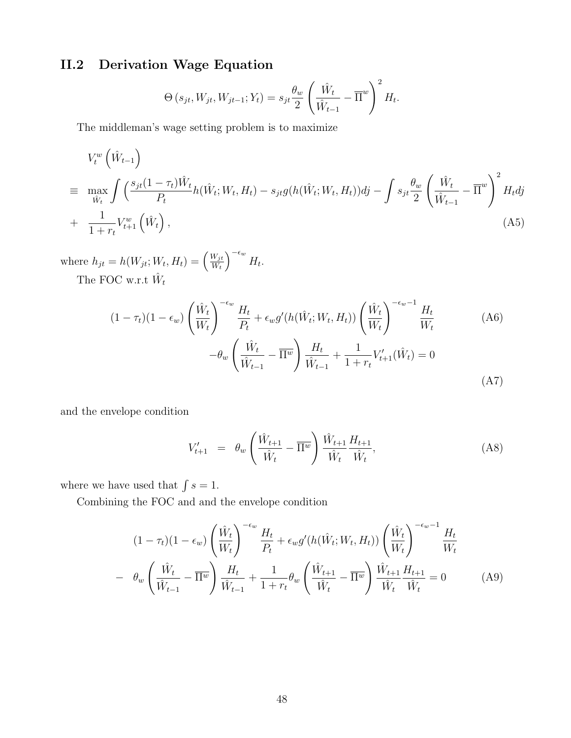## II.2 Derivation Wage Equation

$$
\Theta\left(s_{jt}, W_{jt}, W_{jt-1}; Y_t\right) = s_{jt} \frac{\theta_w}{2} \left(\frac{\hat{W}_t}{\hat{W}_{t-1}} - \overline{\Pi}^w\right)^2 H_t.
$$

The middleman's wage setting problem is to maximize

$$
V_t^w \left(\hat{W}_{t-1}\right)
$$
  
\n
$$
\equiv \max_{\hat{W}_t} \int \left(\frac{s_{jt}(1-\tau_t)\hat{W}_t}{P_t} h(\hat{W}_t; W_t, H_t) - s_{jt}g(h(\hat{W}_t; W_t, H_t))dj - \int s_{jt} \frac{\theta_w}{2} \left(\frac{\hat{W}_t}{\hat{W}_{t-1}} - \overline{\Pi}^w\right)^2 H_t dj
$$
  
\n
$$
+ \frac{1}{1+r_t} V_{t+1}^w \left(\hat{W}_t\right), \tag{A5}
$$

where  $h_{jt} = h(W_{jt}; W_t, H_t) = \left(\frac{W_{jt}}{W_t}\right)$  $W_t$  $\Big)^{-\epsilon_w} H_t.$ 

The FOC w.r.t  $\hat{W}_t$ 

$$
(1 - \tau_t)(1 - \epsilon_w) \left(\frac{\hat{W}_t}{W_t}\right)^{-\epsilon_w} \frac{H_t}{P_t} + \epsilon_w g'(h(\hat{W}_t; W_t, H_t)) \left(\frac{\hat{W}_t}{W_t}\right)^{-\epsilon_w - 1} \frac{H_t}{W_t}
$$
\n
$$
- \theta_w \left(\frac{\hat{W}_t}{\hat{W}_{t-1}} - \overline{\Pi^w}\right) \frac{H_t}{\hat{W}_{t-1}} + \frac{1}{1 + r_t} V'_{t+1}(\hat{W}_t) = 0
$$
\n(A7)

and the envelope condition

$$
V'_{t+1} = \theta_w \left( \frac{\hat{W}_{t+1}}{\hat{W}_t} - \overline{\Pi^w} \right) \frac{\hat{W}_{t+1}}{\hat{W}_t} \frac{H_{t+1}}{\hat{W}_t}, \tag{A8}
$$

where we have used that  $\int s = 1$ .

Combining the FOC and and the envelope condition

$$
(1 - \tau_t)(1 - \epsilon_w) \left(\frac{\hat{W}_t}{W_t}\right)^{-\epsilon_w} \frac{H_t}{P_t} + \epsilon_w g'(h(\hat{W}_t; W_t, H_t)) \left(\frac{\hat{W}_t}{W_t}\right)^{-\epsilon_w - 1} \frac{H_t}{W_t}
$$

$$
- \theta_w \left(\frac{\hat{W}_t}{\hat{W}_{t-1}} - \overline{\Pi^w}\right) \frac{H_t}{\hat{W}_{t-1}} + \frac{1}{1 + r_t} \theta_w \left(\frac{\hat{W}_{t+1}}{\hat{W}_t} - \overline{\Pi^w}\right) \frac{\hat{W}_{t+1}}{\hat{W}_t} \frac{H_{t+1}}{\hat{W}_t} = 0 \tag{A9}
$$